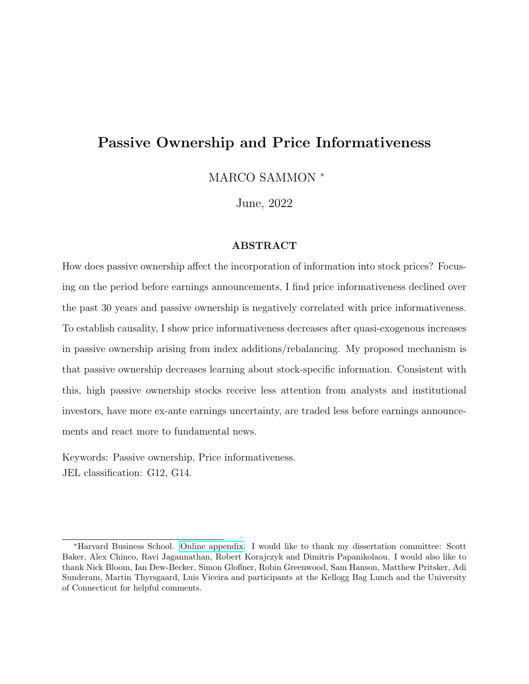# Passive Ownership and Price Informativeness

MARCO SAMMON <sup>∗</sup>

June, 2022

### ABSTRACT

How does passive ownership affect the incorporation of information into stock prices? Focusing on the period before earnings announcements, I find price informativeness declined over the past 30 years and passive ownership is negatively correlated with price informativeness. To establish causality, I show price informativeness decreases after quasi-exogenous increases in passive ownership arising from index additions/rebalancing. My proposed mechanism is that passive ownership decreases learning about stock-specific information. Consistent with this, high passive ownership stocks receive less attention from analysts and institutional investors, have more ex-ante earnings uncertainty, are traded less before earnings announcements and react more to fundamental news.

Keywords: Passive ownership, Price informativeness. JEL classification: G12, G14.

<sup>∗</sup>Harvard Business School. [Online appendix.](https://marcosammon.com/images/sammon_passive_appendix.pdf) I would like to thank my dissertation committee: Scott Baker, Alex Chinco, Ravi Jagannathan, Robert Korajczyk and Dimitris Papanikolaou. I would also like to thank Nick Bloom, Ian Dew-Becker, Simon Gloßner, Robin Greenwood, Sam Hanson, Matthew Pritsker, Adi Sunderam, Martin Thyrsgaard, Luis Viceira and participants at the Kellogg Bag Lunch and the University of Connecticut for helpful comments.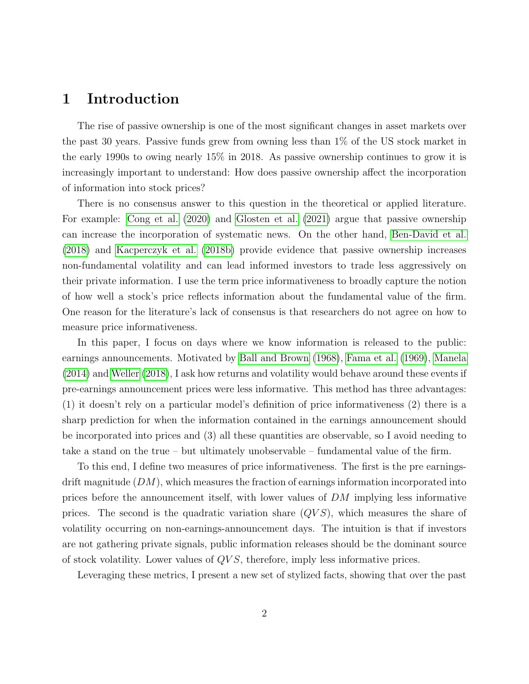## 1 Introduction

The rise of passive ownership is one of the most significant changes in asset markets over the past 30 years. Passive funds grew from owning less than 1% of the US stock market in the early 1990s to owing nearly 15% in 2018. As passive ownership continues to grow it is increasingly important to understand: How does passive ownership affect the incorporation of information into stock prices?

There is no consensus answer to this question in the theoretical or applied literature. For example: [Cong et al.](#page-49-0) [\(2020\)](#page-49-0) and [Glosten et al.](#page-51-0) [\(2021\)](#page-51-0) argue that passive ownership can increase the incorporation of systematic news. On the other hand, [Ben-David et al.](#page-48-0) [\(2018\)](#page-48-0) and [Kacperczyk et al.](#page-51-1) [\(2018b\)](#page-51-1) provide evidence that passive ownership increases non-fundamental volatility and can lead informed investors to trade less aggressively on their private information. I use the term price informativeness to broadly capture the notion of how well a stock's price reflects information about the fundamental value of the firm. One reason for the literature's lack of consensus is that researchers do not agree on how to measure price informativeness.

In this paper, I focus on days where we know information is released to the public: earnings announcements. Motivated by [Ball and Brown](#page-48-1) [\(1968\)](#page-48-1), [Fama et al.](#page-50-0) [\(1969\)](#page-50-0), [Manela](#page-52-0) [\(2014\)](#page-52-0) and [Weller](#page-53-0) [\(2018\)](#page-53-0), I ask how returns and volatility would behave around these events if pre-earnings announcement prices were less informative. This method has three advantages: (1) it doesn't rely on a particular model's definition of price informativeness (2) there is a sharp prediction for when the information contained in the earnings announcement should be incorporated into prices and (3) all these quantities are observable, so I avoid needing to take a stand on the true – but ultimately unobservable – fundamental value of the firm.

To this end, I define two measures of price informativeness. The first is the pre earningsdrift magnitude  $(DM)$ , which measures the fraction of earnings information incorporated into prices before the announcement itself, with lower values of DM implying less informative prices. The second is the quadratic variation share  $(QVS)$ , which measures the share of volatility occurring on non-earnings-announcement days. The intuition is that if investors are not gathering private signals, public information releases should be the dominant source of stock volatility. Lower values of QV S, therefore, imply less informative prices.

Leveraging these metrics, I present a new set of stylized facts, showing that over the past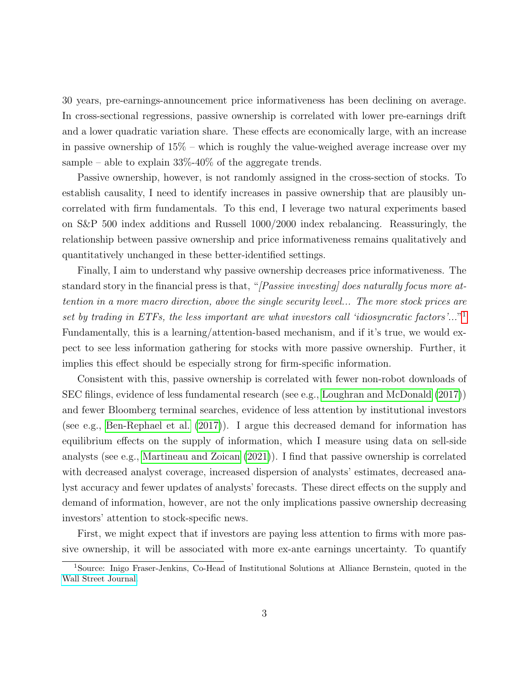30 years, pre-earnings-announcement price informativeness has been declining on average. In cross-sectional regressions, passive ownership is correlated with lower pre-earnings drift and a lower quadratic variation share. These effects are economically large, with an increase in passive ownership of  $15\%$  – which is roughly the value-weighed average increase over my sample – able to explain  $33\% - 40\%$  of the aggregate trends.

Passive ownership, however, is not randomly assigned in the cross-section of stocks. To establish causality, I need to identify increases in passive ownership that are plausibly uncorrelated with firm fundamentals. To this end, I leverage two natural experiments based on S&P 500 index additions and Russell 1000/2000 index rebalancing. Reassuringly, the relationship between passive ownership and price informativeness remains qualitatively and quantitatively unchanged in these better-identified settings.

Finally, I aim to understand why passive ownership decreases price informativeness. The standard story in the financial press is that, "[Passive investing] does naturally focus more attention in a more macro direction, above the single security level... The more stock prices are set by trading in ETFs, the less important are what investors call 'idiosyncratic factors'..."<sup>[1](#page-2-0)</sup> Fundamentally, this is a learning/attention-based mechanism, and if it's true, we would expect to see less information gathering for stocks with more passive ownership. Further, it implies this effect should be especially strong for firm-specific information.

Consistent with this, passive ownership is correlated with fewer non-robot downloads of SEC filings, evidence of less fundamental research (see e.g., [Loughran and McDonald](#page-52-1) [\(2017\)](#page-52-1)) and fewer Bloomberg terminal searches, evidence of less attention by institutional investors (see e.g., [Ben-Rephael et al.](#page-48-2) [\(2017\)](#page-48-2)). I argue this decreased demand for information has equilibrium effects on the supply of information, which I measure using data on sell-side analysts (see e.g., [Martineau and Zoican](#page-52-2) [\(2021\)](#page-52-2)). I find that passive ownership is correlated with decreased analyst coverage, increased dispersion of analysts' estimates, decreased analyst accuracy and fewer updates of analysts' forecasts. These direct effects on the supply and demand of information, however, are not the only implications passive ownership decreasing investors' attention to stock-specific news.

First, we might expect that if investors are paying less attention to firms with more passive ownership, it will be associated with more ex-ante earnings uncertainty. To quantify

<span id="page-2-0"></span><sup>1</sup>Source: Inigo Fraser-Jenkins, Co-Head of Institutional Solutions at Alliance Bernstein, quoted in the [Wall Street Journal.](https://www-wsj-com.ezp-prod1.hul.harvard.edu/articles/how-etfs-swallowed-the-stock-market-11567162801?mod=mhp)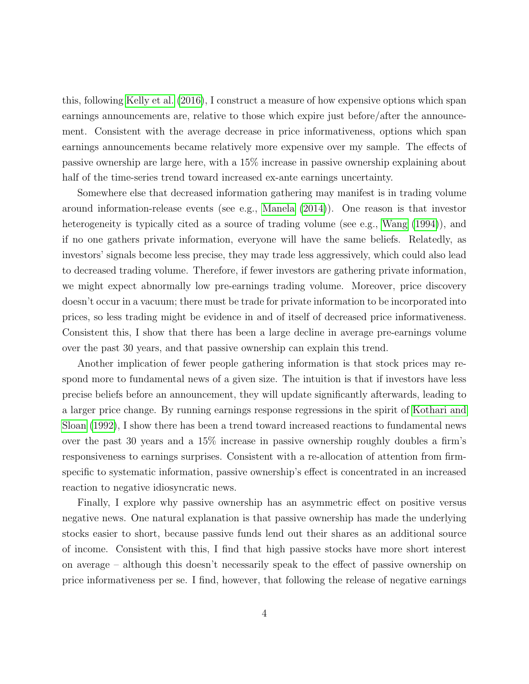this, following [Kelly et al.](#page-51-2) [\(2016\)](#page-51-2), I construct a measure of how expensive options which span earnings announcements are, relative to those which expire just before/after the announcement. Consistent with the average decrease in price informativeness, options which span earnings announcements became relatively more expensive over my sample. The effects of passive ownership are large here, with a 15% increase in passive ownership explaining about half of the time-series trend toward increased ex-ante earnings uncertainty.

Somewhere else that decreased information gathering may manifest is in trading volume around information-release events (see e.g., [Manela](#page-52-0) [\(2014\)](#page-52-0)). One reason is that investor heterogeneity is typically cited as a source of trading volume (see e.g., [Wang](#page-52-3)  $(1994)$ ), and if no one gathers private information, everyone will have the same beliefs. Relatedly, as investors' signals become less precise, they may trade less aggressively, which could also lead to decreased trading volume. Therefore, if fewer investors are gathering private information, we might expect abnormally low pre-earnings trading volume. Moreover, price discovery doesn't occur in a vacuum; there must be trade for private information to be incorporated into prices, so less trading might be evidence in and of itself of decreased price informativeness. Consistent this, I show that there has been a large decline in average pre-earnings volume over the past 30 years, and that passive ownership can explain this trend.

Another implication of fewer people gathering information is that stock prices may respond more to fundamental news of a given size. The intuition is that if investors have less precise beliefs before an announcement, they will update significantly afterwards, leading to a larger price change. By running earnings response regressions in the spirit of [Kothari and](#page-51-3) [Sloan](#page-51-3) [\(1992\)](#page-51-3), I show there has been a trend toward increased reactions to fundamental news over the past 30 years and a 15% increase in passive ownership roughly doubles a firm's responsiveness to earnings surprises. Consistent with a re-allocation of attention from firmspecific to systematic information, passive ownership's effect is concentrated in an increased reaction to negative idiosyncratic news.

Finally, I explore why passive ownership has an asymmetric effect on positive versus negative news. One natural explanation is that passive ownership has made the underlying stocks easier to short, because passive funds lend out their shares as an additional source of income. Consistent with this, I find that high passive stocks have more short interest on average – although this doesn't necessarily speak to the effect of passive ownership on price informativeness per se. I find, however, that following the release of negative earnings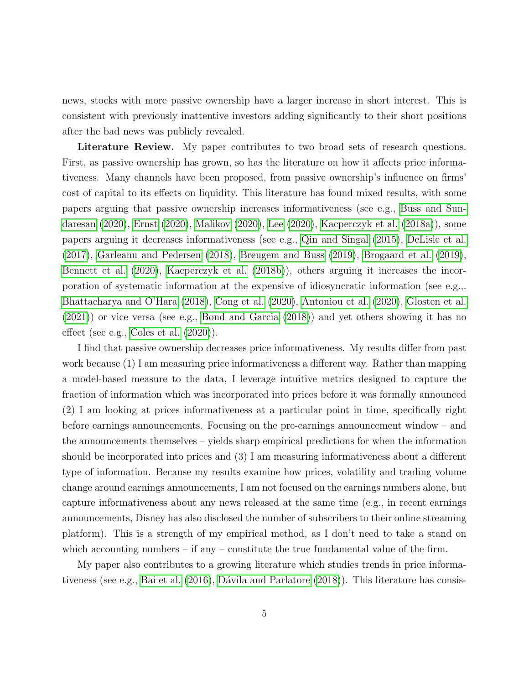news, stocks with more passive ownership have a larger increase in short interest. This is consistent with previously inattentive investors adding significantly to their short positions after the bad news was publicly revealed.

Literature Review. My paper contributes to two broad sets of research questions. First, as passive ownership has grown, so has the literature on how it affects price informativeness. Many channels have been proposed, from passive ownership's influence on firms' cost of capital to its effects on liquidity. This literature has found mixed results, with some papers arguing that passive ownership increases informativeness (see e.g., [Buss and Sun](#page-49-1)[daresan](#page-49-1) [\(2020\)](#page-49-1), [Ernst](#page-50-1) [\(2020\)](#page-50-1), [Malikov](#page-52-4) [\(2020\)](#page-52-4), [Lee](#page-51-4) [\(2020\)](#page-51-4), [Kacperczyk et al.](#page-51-5) [\(2018a\)](#page-51-5)), some papers arguing it decreases informativeness (see e.g., [Qin and Singal](#page-52-5) [\(2015\)](#page-52-5), [DeLisle et al.](#page-50-2) [\(2017\)](#page-50-2), [Garleanu and Pedersen](#page-50-3) [\(2018\)](#page-50-3), [Breugem and Buss](#page-49-2) [\(2019\)](#page-49-2), [Brogaard et al.](#page-49-3) [\(2019\)](#page-49-3), [Bennett et al.](#page-48-3) [\(2020\)](#page-48-3), [Kacperczyk et al.](#page-51-1) [\(2018b\)](#page-51-1)), others arguing it increases the incorporation of systematic information at the expensive of idiosyncratic information (see e.g.,. [Bhattacharya and O'Hara](#page-48-4) [\(2018\)](#page-48-4), [Cong et al.](#page-49-0) [\(2020\)](#page-49-0), [Antoniou et al.](#page-48-5) [\(2020\)](#page-48-5), [Glosten et al.](#page-51-0) [\(2021\)](#page-51-0)) or vice versa (see e.g., [Bond and Garcia](#page-48-6) [\(2018\)](#page-48-6)) and yet others showing it has no effect (see e.g., [Coles et al.](#page-49-4) [\(2020\)](#page-49-4)).

I find that passive ownership decreases price informativeness. My results differ from past work because (1) I am measuring price informativeness a different way. Rather than mapping a model-based measure to the data, I leverage intuitive metrics designed to capture the fraction of information which was incorporated into prices before it was formally announced (2) I am looking at prices informativeness at a particular point in time, specifically right before earnings announcements. Focusing on the pre-earnings announcement window – and the announcements themselves – yields sharp empirical predictions for when the information should be incorporated into prices and (3) I am measuring informativeness about a different type of information. Because my results examine how prices, volatility and trading volume change around earnings announcements, I am not focused on the earnings numbers alone, but capture informativeness about any news released at the same time (e.g., in recent earnings announcements, Disney has also disclosed the number of subscribers to their online streaming platform). This is a strength of my empirical method, as I don't need to take a stand on which accounting numbers – if any – constitute the true fundamental value of the firm.

My paper also contributes to a growing literature which studies trends in price informa-tiveness (see e.g., [Bai et al.](#page-48-7)  $(2016)$ , Dávila and Parlatore  $(2018)$ ). This literature has consis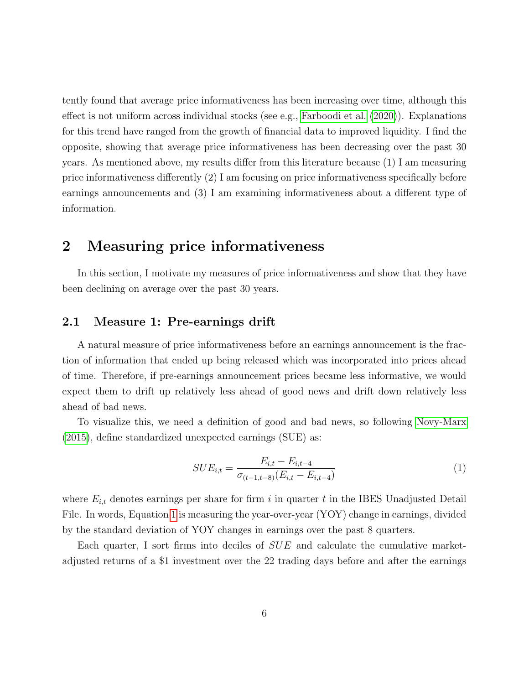tently found that average price informativeness has been increasing over time, although this effect is not uniform across individual stocks (see e.g., [Farboodi et al.](#page-50-4) [\(2020\)](#page-50-4)). Explanations for this trend have ranged from the growth of financial data to improved liquidity. I find the opposite, showing that average price informativeness has been decreasing over the past 30 years. As mentioned above, my results differ from this literature because (1) I am measuring price informativeness differently (2) I am focusing on price informativeness specifically before earnings announcements and (3) I am examining informativeness about a different type of information.

## <span id="page-5-1"></span>2 Measuring price informativeness

In this section, I motivate my measures of price informativeness and show that they have been declining on average over the past 30 years.

## 2.1 Measure 1: Pre-earnings drift

A natural measure of price informativeness before an earnings announcement is the fraction of information that ended up being released which was incorporated into prices ahead of time. Therefore, if pre-earnings announcement prices became less informative, we would expect them to drift up relatively less ahead of good news and drift down relatively less ahead of bad news.

To visualize this, we need a definition of good and bad news, so following [Novy-Marx](#page-52-6) [\(2015\)](#page-52-6), define standardized unexpected earnings (SUE) as:

<span id="page-5-0"></span>
$$
SUE_{i,t} = \frac{E_{i,t} - E_{i,t-4}}{\sigma_{(t-1,t-8)}(E_{i,t} - E_{i,t-4})}
$$
(1)

where  $E_{i,t}$  denotes earnings per share for firm i in quarter t in the IBES Unadjusted Detail File. In words, Equation [1](#page-5-0) is measuring the year-over-year (YOY) change in earnings, divided by the standard deviation of YOY changes in earnings over the past 8 quarters.

Each quarter, I sort firms into deciles of  $SUE$  and calculate the cumulative marketadjusted returns of a \$1 investment over the 22 trading days before and after the earnings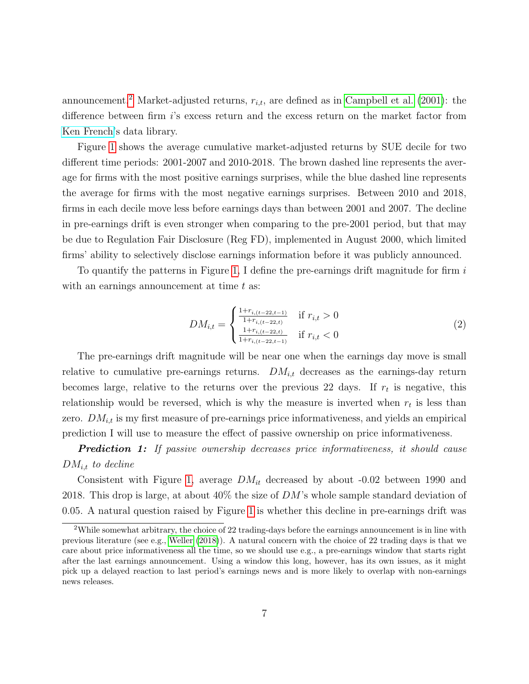announcement.<sup>[2](#page-6-0)</sup> Market-adjusted returns,  $r_{i,t}$ , are defined as in [Campbell et al.](#page-49-6) [\(2001\)](#page-49-6): the difference between firm i's excess return and the excess return on the market factor from [Ken French'](http://mba.tuck.dartmouth.edu/pages/faculty/ken.french/data_library.html)s data library.

Figure [1](#page-7-0) shows the average cumulative market-adjusted returns by SUE decile for two different time periods: 2001-2007 and 2010-2018. The brown dashed line represents the average for firms with the most positive earnings surprises, while the blue dashed line represents the average for firms with the most negative earnings surprises. Between 2010 and 2018, firms in each decile move less before earnings days than between 2001 and 2007. The decline in pre-earnings drift is even stronger when comparing to the pre-2001 period, but that may be due to Regulation Fair Disclosure (Reg FD), implemented in August 2000, which limited firms' ability to selectively disclose earnings information before it was publicly announced.

To quantify the patterns in Figure [1,](#page-7-0) I define the pre-earnings drift magnitude for firm  $i$ with an earnings announcement at time  $t$  as:

<span id="page-6-1"></span>
$$
DM_{i,t} = \begin{cases} \frac{1+r_{i,(t-22,t-1)}}{1+r_{i,(t-22,t)}} & \text{if } r_{i,t} > 0\\ \frac{1+r_{i,(t-22,t)}}{1+r_{i,(t-22,t-1)}} & \text{if } r_{i,t} < 0 \end{cases}
$$
 (2)

The pre-earnings drift magnitude will be near one when the earnings day move is small relative to cumulative pre-earnings returns.  $DM_{i,t}$  decreases as the earnings-day return becomes large, relative to the returns over the previous 22 days. If  $r_t$  is negative, this relationship would be reversed, which is why the measure is inverted when  $r_t$  is less than zero.  $DM_{i,t}$  is my first measure of pre-earnings price informativeness, and yields an empirical prediction I will use to measure the effect of passive ownership on price informativeness.

**Prediction 1:** If passive ownership decreases price informativeness, it should cause  $DM_{i,t}$  to decline

Consistent with Figure [1,](#page-7-0) average  $DM_{it}$  decreased by about -0.02 between 1990 and 2018. This drop is large, at about  $40\%$  the size of DM's whole sample standard deviation of 0.05. A natural question raised by Figure [1](#page-7-0) is whether this decline in pre-earnings drift was

<span id="page-6-0"></span><sup>2</sup>While somewhat arbitrary, the choice of 22 trading-days before the earnings announcement is in line with previous literature (see e.g., [Weller](#page-53-0) [\(2018\)](#page-53-0)). A natural concern with the choice of 22 trading days is that we care about price informativeness all the time, so we should use e.g., a pre-earnings window that starts right after the last earnings announcement. Using a window this long, however, has its own issues, as it might pick up a delayed reaction to last period's earnings news and is more likely to overlap with non-earnings news releases.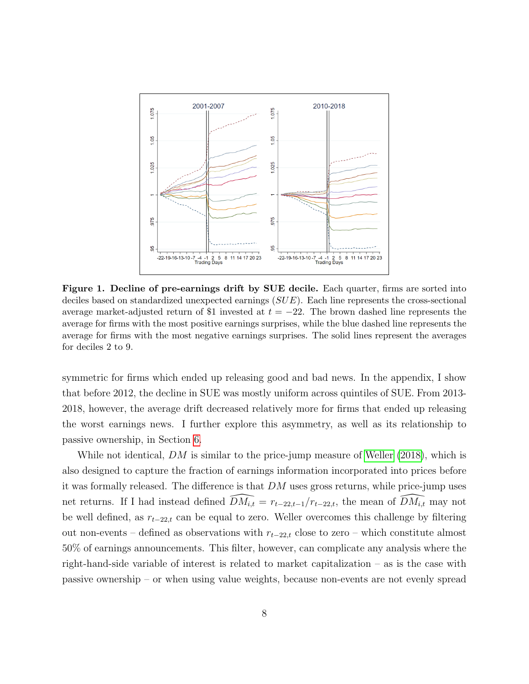<span id="page-7-0"></span>

Figure 1. Decline of pre-earnings drift by SUE decile. Each quarter, firms are sorted into deciles based on standardized unexpected earnings (SUE). Each line represents the cross-sectional average market-adjusted return of \$1 invested at  $t = -22$ . The brown dashed line represents the average for firms with the most positive earnings surprises, while the blue dashed line represents the average for firms with the most negative earnings surprises. The solid lines represent the averages for deciles 2 to 9.

symmetric for firms which ended up releasing good and bad news. In the appendix, I show that before 2012, the decline in SUE was mostly uniform across quintiles of SUE. From 2013- 2018, however, the average drift decreased relatively more for firms that ended up releasing the worst earnings news. I further explore this asymmetry, as well as its relationship to passive ownership, in Section [6.](#page-29-0)

While not identical,  $DM$  is similar to the price-jump measure of [Weller](#page-53-0) [\(2018\)](#page-53-0), which is also designed to capture the fraction of earnings information incorporated into prices before it was formally released. The difference is that  $DM$  uses gross returns, while price-jump uses net returns. If I had instead defined  $\widehat{DM_{i,t}} = r_{t-22,t-1}/r_{t-22,t}$ , the mean of  $\widehat{DM_{i,t}}$  may not be well defined, as  $r_{t-22,t}$  can be equal to zero. Weller overcomes this challenge by filtering out non-events – defined as observations with  $r_{t-22,t}$  close to zero – which constitute almost 50% of earnings announcements. This filter, however, can complicate any analysis where the right-hand-side variable of interest is related to market capitalization – as is the case with passive ownership – or when using value weights, because non-events are not evenly spread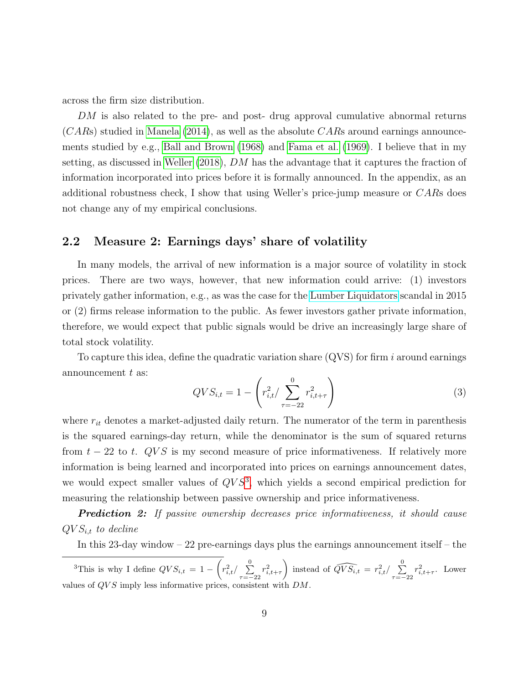across the firm size distribution.

 $DM$  is also related to the pre- and post-drug approval cumulative abnormal returns  $(CARs)$  studied in [Manela](#page-52-0) [\(2014\)](#page-52-0), as well as the absolute  $CARs$  around earnings announcements studied by e.g., [Ball and Brown](#page-48-1) [\(1968\)](#page-48-1) and [Fama et al.](#page-50-0) [\(1969\)](#page-50-0). I believe that in my setting, as discussed in [Weller](#page-53-0) [\(2018\)](#page-53-0), DM has the advantage that it captures the fraction of information incorporated into prices before it is formally announced. In the appendix, as an additional robustness check, I show that using Weller's price-jump measure or CARs does not change any of my empirical conclusions.

## 2.2 Measure 2: Earnings days' share of volatility

In many models, the arrival of new information is a major source of volatility in stock prices. There are two ways, however, that new information could arrive: (1) investors privately gather information, e.g., as was the case for the [Lumber Liquidators](https://www.reuters.com/article/us-lumberliquidators-settlement-idINKBN1QT2BR) scandal in 2015 or (2) firms release information to the public. As fewer investors gather private information, therefore, we would expect that public signals would be drive an increasingly large share of total stock volatility.

To capture this idea, define the quadratic variation share  $(QVS)$  for firm i around earnings announcement  $t$  as:

<span id="page-8-1"></span>
$$
QVS_{i,t} = 1 - \left(r_{i,t}^2 / \sum_{\tau = -22}^0 r_{i,t+\tau}^2\right)
$$
 (3)

where  $r_{it}$  denotes a market-adjusted daily return. The numerator of the term in parenthesis is the squared earnings-day return, while the denominator is the sum of squared returns from  $t - 22$  to t. QVS is my second measure of price informativeness. If relatively more information is being learned and incorporated into prices on earnings announcement dates, we would expect smaller values of  $QVS^3$  $QVS^3$ , which yields a second empirical prediction for measuring the relationship between passive ownership and price informativeness.

**Prediction 2:** If passive ownership decreases price informativeness, it should cause  $QVS_{i,t}$  to decline

In this 23-day window – 22 pre-earnings days plus the earnings announcement itself – the

<span id="page-8-0"></span><sup>3</sup>This is why I define  $QVS_{i,t} = 1 - \left(r_{i,t}^2 / \sum_{i=1}^{0} \right)$  $\sum_{\tau=-22} r_{i,t+\tau}^2$ ) instead of  $\widehat{QVS_{i,t}} = r_{i,t}^2 / \sum_{i=1}^{n}$  $\sum_{\tau=-22} r_{i,t+\tau}^2$ . Lower values of  $QVS$  imply less informative prices, consistent with DM.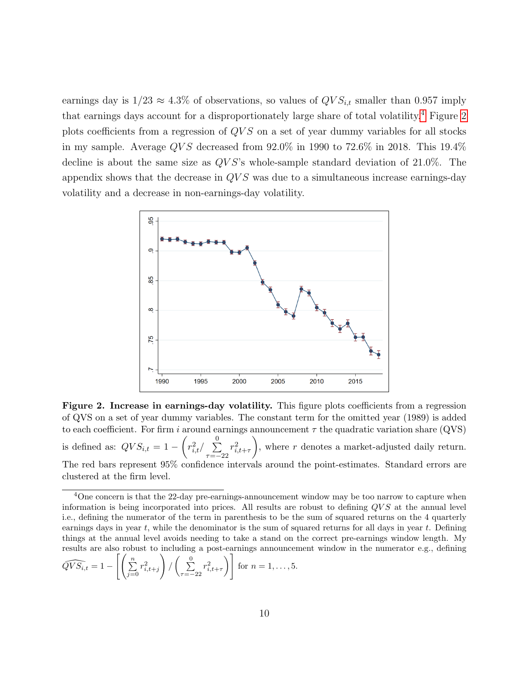earnings day is  $1/23 \approx 4.3\%$  of observations, so values of  $QVS_{i,t}$  smaller than 0.957 imply that earnings days account for a disproportionately large share of total volatility.[4](#page-9-0) Figure [2](#page-9-1) plots coefficients from a regression of  $QVS$  on a set of year dummy variables for all stocks in my sample. Average  $QVS$  decreased from  $92.0\%$  in 1990 to  $72.6\%$  in 2018. This 19.4% decline is about the same size as  $QVS$ 's whole-sample standard deviation of 21.0%. The appendix shows that the decrease in  $QVS$  was due to a simultaneous increase earnings-day volatility and a decrease in non-earnings-day volatility.

<span id="page-9-1"></span>

Figure 2. Increase in earnings-day volatility. This figure plots coefficients from a regression of QVS on a set of year dummy variables. The constant term for the omitted year (1989) is added to each coefficient. For firm i around earnings announcement  $\tau$  the quadratic variation share (QVS) is defined as:  $QVS_{i,t} = 1 - \left(r_{i,t}^2 / \sum\right)^0$  $\tau = -22$  $r_{i,t+\tau}^2$ ), where  $r$  denotes a market-adjusted daily return. The red bars represent 95% confidence intervals around the point-estimates. Standard errors are clustered at the firm level.

$$
\widehat{QVS_{i,t}} = 1 - \left[ \left( \sum_{j=0}^{n} r_{i,t+j}^{2} \right) / \left( \sum_{\tau=-22}^{0} r_{i,t+\tau}^{2} \right) \right] \text{ for } n = 1, \dots, 5.
$$

<span id="page-9-0"></span><sup>&</sup>lt;sup>4</sup>One concern is that the 22-day pre-earnings-announcement window may be too narrow to capture when information is being incorporated into prices. All results are robust to defining  $QVS$  at the annual level i.e., defining the numerator of the term in parenthesis to be the sum of squared returns on the 4 quarterly earnings days in year  $t$ , while the denominator is the sum of squared returns for all days in year  $t$ . Defining things at the annual level avoids needing to take a stand on the correct pre-earnings window length. My results are also robust to including a post-earnings announcement window in the numerator e.g., defining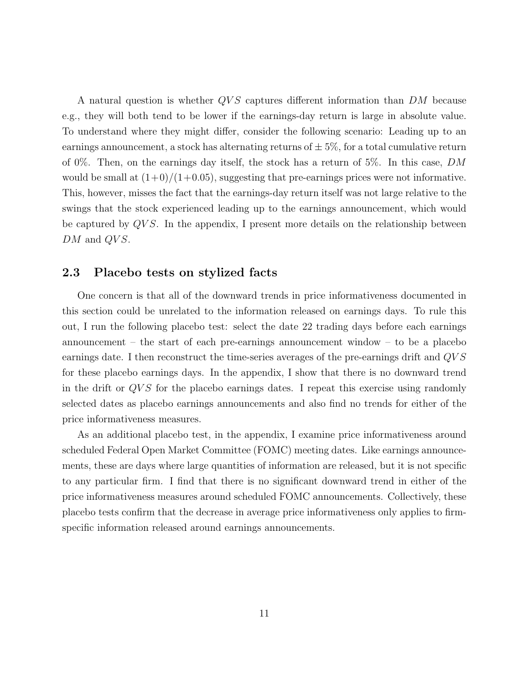A natural question is whether  $QVS$  captures different information than  $DM$  because e.g., they will both tend to be lower if the earnings-day return is large in absolute value. To understand where they might differ, consider the following scenario: Leading up to an earnings announcement, a stock has alternating returns of  $\pm$  5%, for a total cumulative return of 0%. Then, on the earnings day itself, the stock has a return of 5%. In this case, DM would be small at  $(1+0)/(1+0.05)$ , suggesting that pre-earnings prices were not informative. This, however, misses the fact that the earnings-day return itself was not large relative to the swings that the stock experienced leading up to the earnings announcement, which would be captured by  $QVS$ . In the appendix, I present more details on the relationship between  $DM$  and  $QVS$ .

## 2.3 Placebo tests on stylized facts

One concern is that all of the downward trends in price informativeness documented in this section could be unrelated to the information released on earnings days. To rule this out, I run the following placebo test: select the date 22 trading days before each earnings announcement – the start of each pre-earnings announcement window – to be a placebo earnings date. I then reconstruct the time-series averages of the pre-earnings drift and QV S for these placebo earnings days. In the appendix, I show that there is no downward trend in the drift or QV S for the placebo earnings dates. I repeat this exercise using randomly selected dates as placebo earnings announcements and also find no trends for either of the price informativeness measures.

As an additional placebo test, in the appendix, I examine price informativeness around scheduled Federal Open Market Committee (FOMC) meeting dates. Like earnings announcements, these are days where large quantities of information are released, but it is not specific to any particular firm. I find that there is no significant downward trend in either of the price informativeness measures around scheduled FOMC announcements. Collectively, these placebo tests confirm that the decrease in average price informativeness only applies to firmspecific information released around earnings announcements.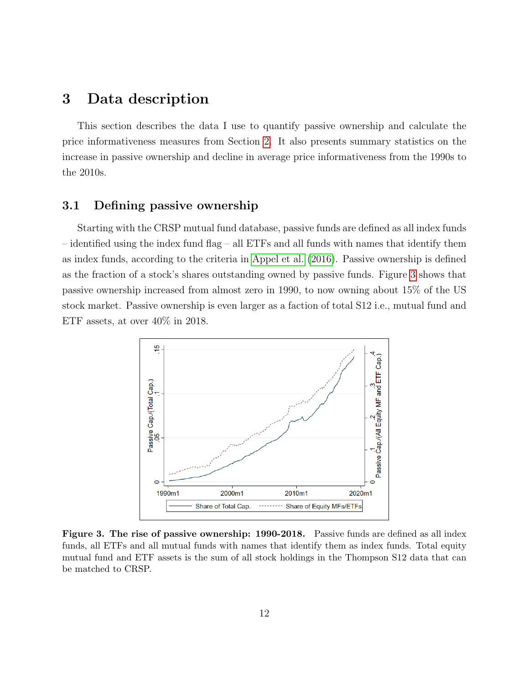# 3 Data description

This section describes the data I use to quantify passive ownership and calculate the price informativeness measures from Section [2.](#page-5-1) It also presents summary statistics on the increase in passive ownership and decline in average price informativeness from the 1990s to the 2010s.

## 3.1 Defining passive ownership

Starting with the CRSP mutual fund database, passive funds are defined as all index funds – identified using the index fund flag – all ETFs and all funds with names that identify them as index funds, according to the criteria in [Appel et al.](#page-48-8) [\(2016\)](#page-48-8). Passive ownership is defined as the fraction of a stock's shares outstanding owned by passive funds. Figure [3](#page-11-0) shows that passive ownership increased from almost zero in 1990, to now owning about 15% of the US stock market. Passive ownership is even larger as a faction of total S12 i.e., mutual fund and ETF assets, at over 40% in 2018.

<span id="page-11-0"></span>

Figure 3. The rise of passive ownership: 1990-2018. Passive funds are defined as all index funds, all ETFs and all mutual funds with names that identify them as index funds. Total equity mutual fund and ETF assets is the sum of all stock holdings in the Thompson S12 data that can be matched to CRSP.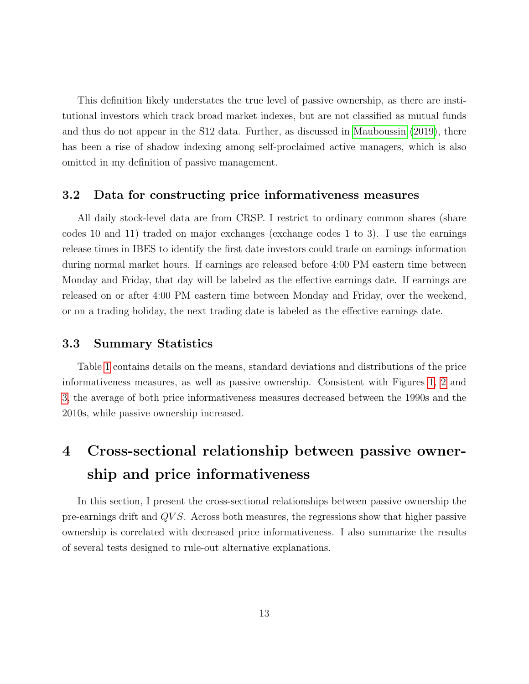This definition likely understates the true level of passive ownership, as there are institutional investors which track broad market indexes, but are not classified as mutual funds and thus do not appear in the S12 data. Further, as discussed in [Mauboussin](#page-52-7) [\(2019\)](#page-52-7), there has been a rise of shadow indexing among self-proclaimed active managers, which is also omitted in my definition of passive management.

## 3.2 Data for constructing price informativeness measures

All daily stock-level data are from CRSP. I restrict to ordinary common shares (share codes 10 and 11) traded on major exchanges (exchange codes 1 to 3). I use the earnings release times in IBES to identify the first date investors could trade on earnings information during normal market hours. If earnings are released before 4:00 PM eastern time between Monday and Friday, that day will be labeled as the effective earnings date. If earnings are released on or after 4:00 PM eastern time between Monday and Friday, over the weekend, or on a trading holiday, the next trading date is labeled as the effective earnings date.

## 3.3 Summary Statistics

Table [1](#page-13-0) contains details on the means, standard deviations and distributions of the price informativeness measures, as well as passive ownership. Consistent with Figures [1,](#page-7-0) [2](#page-9-1) and [3,](#page-11-0) the average of both price informativeness measures decreased between the 1990s and the 2010s, while passive ownership increased.

# <span id="page-12-0"></span>4 Cross-sectional relationship between passive ownership and price informativeness

In this section, I present the cross-sectional relationships between passive ownership the pre-earnings drift and QV S. Across both measures, the regressions show that higher passive ownership is correlated with decreased price informativeness. I also summarize the results of several tests designed to rule-out alternative explanations.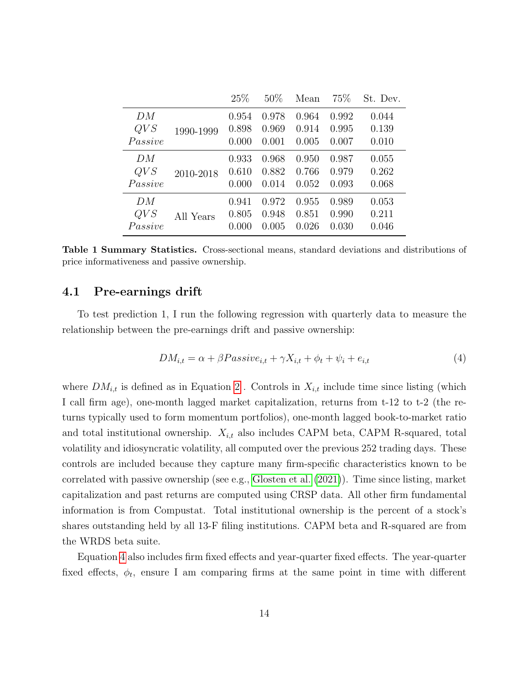<span id="page-13-0"></span>

|         |           | 25%   | 50%   | Mean  | 75\%  | St. Dev. |
|---------|-----------|-------|-------|-------|-------|----------|
| DM      |           | 0.954 | 0.978 | 0.964 | 0.992 | 0.044    |
| QVS     | 1990-1999 | 0.898 | 0.969 | 0.914 | 0.995 | 0.139    |
| Passive |           | 0.000 | 0.001 | 0.005 | 0.007 | 0.010    |
| DM      |           | 0.933 | 0.968 | 0.950 | 0.987 | 0.055    |
| QVS     | 2010-2018 | 0.610 | 0.882 | 0.766 | 0.979 | 0.262    |
| Passive |           | 0.000 | 0.014 | 0.052 | 0.093 | 0.068    |
| DM      |           | 0.941 | 0.972 | 0.955 | 0.989 | 0.053    |
| QVS     | All Years | 0.805 | 0.948 | 0.851 | 0.990 | 0.211    |
| Passive |           | 0.000 | 0.005 | 0.026 | 0.030 | 0.046    |

Table 1 Summary Statistics. Cross-sectional means, standard deviations and distributions of price informativeness and passive ownership.

## 4.1 Pre-earnings drift

To test prediction 1, I run the following regression with quarterly data to measure the relationship between the pre-earnings drift and passive ownership:

<span id="page-13-1"></span>
$$
DM_{i,t} = \alpha + \beta \text{Passive}_{i,t} + \gamma X_{i,t} + \phi_t + \psi_i + e_{i,t}
$$
\n
$$
\tag{4}
$$

where  $DM_{i,t}$  is defined as in Equation [2](#page-6-1). Controls in  $X_{i,t}$  include time since listing (which I call firm age), one-month lagged market capitalization, returns from t-12 to t-2 (the returns typically used to form momentum portfolios), one-month lagged book-to-market ratio and total institutional ownership.  $X_{i,t}$  also includes CAPM beta, CAPM R-squared, total volatility and idiosyncratic volatility, all computed over the previous 252 trading days. These controls are included because they capture many firm-specific characteristics known to be correlated with passive ownership (see e.g., [Glosten et al.](#page-51-0) [\(2021\)](#page-51-0)). Time since listing, market capitalization and past returns are computed using CRSP data. All other firm fundamental information is from Compustat. Total institutional ownership is the percent of a stock's shares outstanding held by all 13-F filing institutions. CAPM beta and R-squared are from the WRDS beta suite.

Equation [4](#page-13-1) also includes firm fixed effects and year-quarter fixed effects. The year-quarter fixed effects,  $\phi_t$ , ensure I am comparing firms at the same point in time with different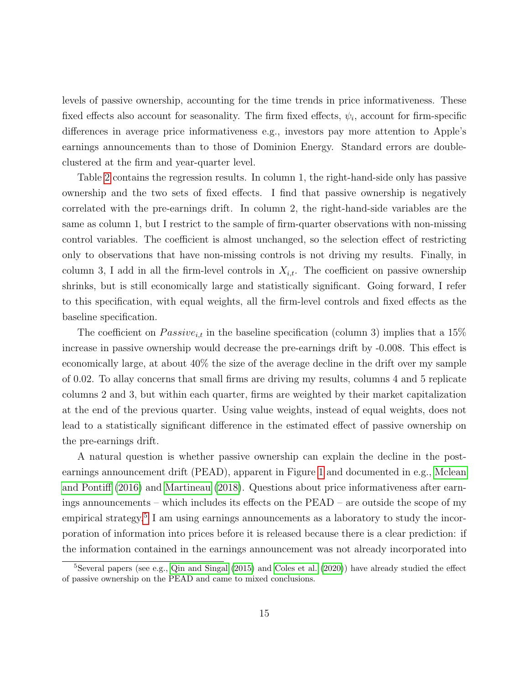levels of passive ownership, accounting for the time trends in price informativeness. These fixed effects also account for seasonality. The firm fixed effects,  $\psi_i$ , account for firm-specific differences in average price informativeness e.g., investors pay more attention to Apple's earnings announcements than to those of Dominion Energy. Standard errors are doubleclustered at the firm and year-quarter level.

Table [2](#page-15-0) contains the regression results. In column 1, the right-hand-side only has passive ownership and the two sets of fixed effects. I find that passive ownership is negatively correlated with the pre-earnings drift. In column 2, the right-hand-side variables are the same as column 1, but I restrict to the sample of firm-quarter observations with non-missing control variables. The coefficient is almost unchanged, so the selection effect of restricting only to observations that have non-missing controls is not driving my results. Finally, in column 3, I add in all the firm-level controls in  $X_{i,t}$ . The coefficient on passive ownership shrinks, but is still economically large and statistically significant. Going forward, I refer to this specification, with equal weights, all the firm-level controls and fixed effects as the baseline specification.

The coefficient on  $Passive_{i,t}$  in the baseline specification (column 3) implies that a 15% increase in passive ownership would decrease the pre-earnings drift by -0.008. This effect is economically large, at about 40% the size of the average decline in the drift over my sample of 0.02. To allay concerns that small firms are driving my results, columns 4 and 5 replicate columns 2 and 3, but within each quarter, firms are weighted by their market capitalization at the end of the previous quarter. Using value weights, instead of equal weights, does not lead to a statistically significant difference in the estimated effect of passive ownership on the pre-earnings drift.

A natural question is whether passive ownership can explain the decline in the postearnings announcement drift (PEAD), apparent in Figure [1](#page-7-0) and documented in e.g., [Mclean](#page-52-8) [and Pontiff](#page-52-8) [\(2016\)](#page-52-8) and [Martineau](#page-52-9) [\(2018\)](#page-52-9). Questions about price informativeness after earnings announcements – which includes its effects on the PEAD – are outside the scope of my empirical strategy.<sup>[5](#page-14-0)</sup> I am using earnings announcements as a laboratory to study the incorporation of information into prices before it is released because there is a clear prediction: if the information contained in the earnings announcement was not already incorporated into

<span id="page-14-0"></span> $5$ Several papers (see e.g., [Qin and Singal](#page-52-5) [\(2015\)](#page-52-5) and [Coles et al.](#page-49-4) [\(2020\)](#page-49-4)) have already studied the effect of passive ownership on the PEAD and came to mixed conclusions.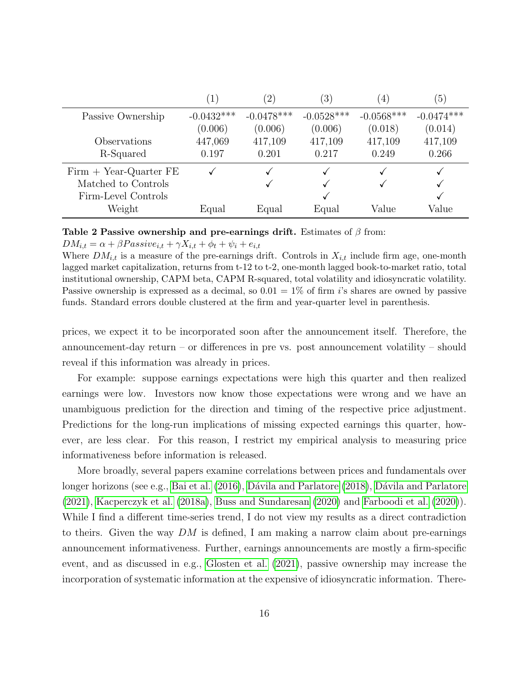<span id="page-15-0"></span>

|                          |              | $^{'}2$ ,    | $\left(3\right)$ | $\left( 4\right)$ | 5 <sub>1</sub> |
|--------------------------|--------------|--------------|------------------|-------------------|----------------|
| Passive Ownership        | $-0.0432***$ | $-0.0478***$ | $-0.0528***$     | $-0.0568***$      | $-0.0474***$   |
|                          | (0.006)      | (0.006)      | (0.006)          | (0.018)           | (0.014)        |
| Observations             | 447,069      | 417,109      | 417,109          | 417,109           | 417,109        |
| R-Squared                | 0.197        | 0.201        | 0.217            | 0.249             | 0.266          |
| $Firm + Year-Quarter FE$ |              |              |                  |                   |                |
| Matched to Controls      |              |              |                  |                   |                |
| Firm-Level Controls      |              |              |                  |                   |                |
| Weight                   | Equal        | Equal        | Equal            | Value             | Value          |

### Table 2 Passive ownership and pre-earnings drift. Estimates of  $\beta$  from:

#### $DM_{i,t} = \alpha + \beta Passive_{i,t} + \gamma X_{i,t} + \phi_t + \psi_i + e_{i,t}$

Where  $DM_{i,t}$  is a measure of the pre-earnings drift. Controls in  $X_{i,t}$  include firm age, one-month lagged market capitalization, returns from t-12 to t-2, one-month lagged book-to-market ratio, total institutional ownership, CAPM beta, CAPM R-squared, total volatility and idiosyncratic volatility. Passive ownership is expressed as a decimal, so  $0.01 = 1\%$  of firm is shares are owned by passive funds. Standard errors double clustered at the firm and year-quarter level in parenthesis.

prices, we expect it to be incorporated soon after the announcement itself. Therefore, the announcement-day return – or differences in pre vs. post announcement volatility – should reveal if this information was already in prices.

For example: suppose earnings expectations were high this quarter and then realized earnings were low. Investors now know those expectations were wrong and we have an unambiguous prediction for the direction and timing of the respective price adjustment. Predictions for the long-run implications of missing expected earnings this quarter, however, are less clear. For this reason, I restrict my empirical analysis to measuring price informativeness before information is released.

More broadly, several papers examine correlations between prices and fundamentals over longer horizons (see e.g., [Bai et al.](#page-48-7)  $(2016)$ , Dávila and Parlatore  $(2018)$ , Dávila and Parlatore [\(2021\)](#page-49-7), [Kacperczyk et al.](#page-51-5) [\(2018a\)](#page-51-5), [Buss and Sundaresan](#page-49-1) [\(2020\)](#page-49-1) and [Farboodi et al.](#page-50-4) [\(2020\)](#page-50-4)). While I find a different time-series trend, I do not view my results as a direct contradiction to theirs. Given the way  $DM$  is defined, I am making a narrow claim about pre-earnings announcement informativeness. Further, earnings announcements are mostly a firm-specific event, and as discussed in e.g., [Glosten et al.](#page-51-0) [\(2021\)](#page-51-0), passive ownership may increase the incorporation of systematic information at the expensive of idiosyncratic information. There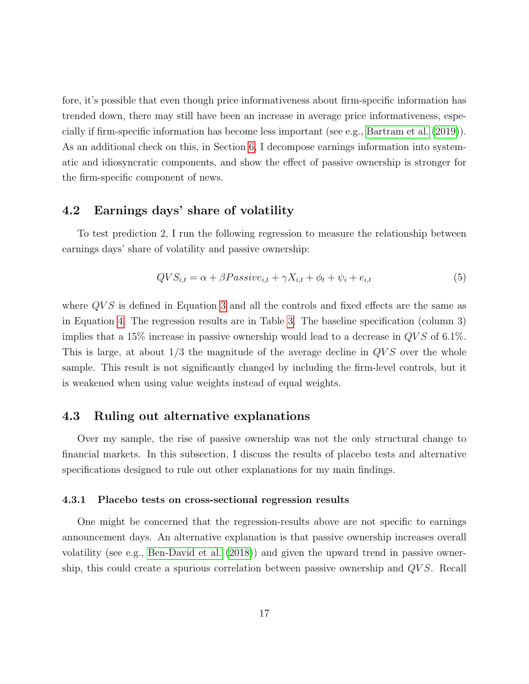fore, it's possible that even though price informativeness about firm-specific information has trended down, there may still have been an increase in average price informativeness, especially if firm-specific information has become less important (see e.g., [Bartram et al.](#page-48-9) [\(2019\)](#page-48-9)). As an additional check on this, in Section [6,](#page-29-0) I decompose earnings information into systematic and idiosyncratic components, and show the effect of passive ownership is stronger for the firm-specific component of news.

## 4.2 Earnings days' share of volatility

To test prediction 2, I run the following regression to measure the relationship between earnings days' share of volatility and passive ownership:

$$
QVS_{i,t} = \alpha + \beta Passive_{i,t} + \gamma X_{i,t} + \phi_t + \psi_i + e_{i,t}
$$
\n
$$
\tag{5}
$$

where  $QVS$  is defined in Equation [3](#page-8-1) and all the controls and fixed effects are the same as in Equation [4.](#page-13-1) The regression results are in Table [3.](#page-17-0) The baseline specification (column 3) implies that a 15% increase in passive ownership would lead to a decrease in  $QVS$  of 6.1%. This is large, at about  $1/3$  the magnitude of the average decline in  $QVS$  over the whole sample. This result is not significantly changed by including the firm-level controls, but it is weakened when using value weights instead of equal weights.

## 4.3 Ruling out alternative explanations

Over my sample, the rise of passive ownership was not the only structural change to financial markets. In this subsection, I discuss the results of placebo tests and alternative specifications designed to rule out other explanations for my main findings.

#### 4.3.1 Placebo tests on cross-sectional regression results

One might be concerned that the regression-results above are not specific to earnings announcement days. An alternative explanation is that passive ownership increases overall volatility (see e.g., [Ben-David et al.](#page-48-0) [\(2018\)](#page-48-0)) and given the upward trend in passive ownership, this could create a spurious correlation between passive ownership and QV S. Recall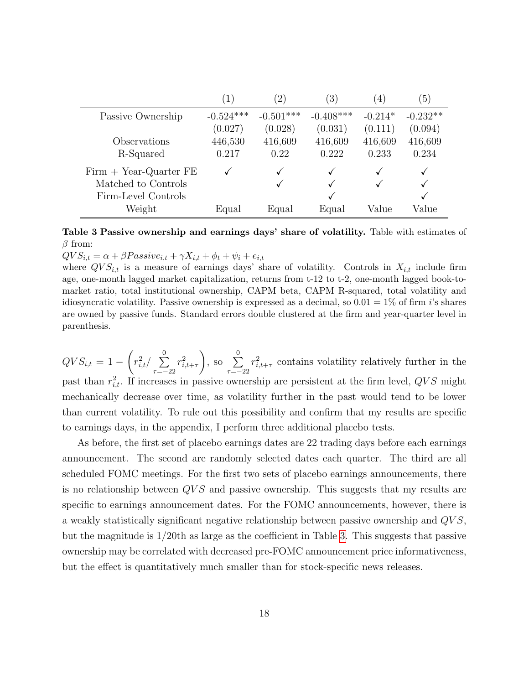<span id="page-17-0"></span>

|                          | $\left(1\right)$ | $\left( 2\right)$ | $\left(3\right)$ | (4)       | (5)          |
|--------------------------|------------------|-------------------|------------------|-----------|--------------|
| Passive Ownership        | $-0.524***$      | $-0.501***$       | $-0.408***$      | $-0.214*$ | $-0.232**$   |
|                          | (0.027)          | (0.028)           | (0.031)          | (0.111)   | (0.094)      |
| Observations             | 446,530          | 416,609           | 416,609          | 416,609   | 416,609      |
| R-Squared                | 0.217            | 0.22              | 0.222            | 0.233     | 0.234        |
| $Firm + Year-Quarter FE$ |                  |                   |                  |           | $\checkmark$ |
| Matched to Controls      |                  |                   |                  |           | $\checkmark$ |
| Firm-Level Controls      |                  |                   |                  |           |              |
| Weight                   | Equal            | Equal             | Equal            | Value     | Value        |

Table 3 Passive ownership and earnings days' share of volatility. Table with estimates of  $\beta$  from:

 $QVS_{i,t} = \alpha + \beta Passive_{i,t} + \gamma X_{i,t} + \phi_t + \psi_i + e_{i,t}$ 

where  $QVS_{i,t}$  is a measure of earnings days' share of volatility. Controls in  $X_{i,t}$  include firm age, one-month lagged market capitalization, returns from t-12 to t-2, one-month lagged book-tomarket ratio, total institutional ownership, CAPM beta, CAPM R-squared, total volatility and idiosyncratic volatility. Passive ownership is expressed as a decimal, so  $0.01 = 1\%$  of firm *i*'s shares are owned by passive funds. Standard errors double clustered at the firm and year-quarter level in parenthesis.

 $QVS_{i,t} = 1 \sqrt{ }$  $r_{i,t}^2/\sum\limits_{}^0$  $\tau = -22$  $r_{i,t+\tau}^2$ ), so  $\sum_{ }^{0}$  $\tau = -22$  $r_{i,t+\tau}^2$  contains volatility relatively further in the past than  $r_{i,t}^2$ . If increases in passive ownership are persistent at the firm level,  $QVS$  might mechanically decrease over time, as volatility further in the past would tend to be lower than current volatility. To rule out this possibility and confirm that my results are specific to earnings days, in the appendix, I perform three additional placebo tests.

As before, the first set of placebo earnings dates are 22 trading days before each earnings announcement. The second are randomly selected dates each quarter. The third are all scheduled FOMC meetings. For the first two sets of placebo earnings announcements, there is no relationship between  $QVS$  and passive ownership. This suggests that my results are specific to earnings announcement dates. For the FOMC announcements, however, there is a weakly statistically significant negative relationship between passive ownership and QV S, but the magnitude is 1/20th as large as the coefficient in Table [3.](#page-17-0) This suggests that passive ownership may be correlated with decreased pre-FOMC announcement price informativeness, but the effect is quantitatively much smaller than for stock-specific news releases.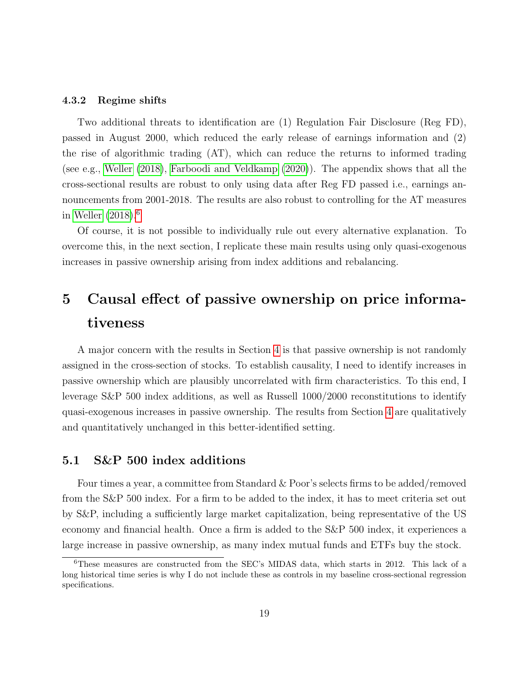#### 4.3.2 Regime shifts

Two additional threats to identification are (1) Regulation Fair Disclosure (Reg FD), passed in August 2000, which reduced the early release of earnings information and (2) the rise of algorithmic trading (AT), which can reduce the returns to informed trading (see e.g., [Weller](#page-53-0) [\(2018\)](#page-53-0), [Farboodi and Veldkamp](#page-50-5) [\(2020\)](#page-50-5)). The appendix shows that all the cross-sectional results are robust to only using data after Reg FD passed i.e., earnings announcements from 2001-2018. The results are also robust to controlling for the AT measures in [Weller](#page-53-0)  $(2018).<sup>6</sup>$  $(2018).<sup>6</sup>$  $(2018).<sup>6</sup>$  $(2018).<sup>6</sup>$ 

Of course, it is not possible to individually rule out every alternative explanation. To overcome this, in the next section, I replicate these main results using only quasi-exogenous increases in passive ownership arising from index additions and rebalancing.

# <span id="page-18-1"></span>5 Causal effect of passive ownership on price informativeness

A major concern with the results in Section [4](#page-12-0) is that passive ownership is not randomly assigned in the cross-section of stocks. To establish causality, I need to identify increases in passive ownership which are plausibly uncorrelated with firm characteristics. To this end, I leverage S&P 500 index additions, as well as Russell 1000/2000 reconstitutions to identify quasi-exogenous increases in passive ownership. The results from Section [4](#page-12-0) are qualitatively and quantitatively unchanged in this better-identified setting.

## 5.1 S&P 500 index additions

Four times a year, a committee from Standard & Poor's selects firms to be added/removed from the S&P 500 index. For a firm to be added to the index, it has to meet criteria set out by S&P, including a sufficiently large market capitalization, being representative of the US economy and financial health. Once a firm is added to the S&P 500 index, it experiences a large increase in passive ownership, as many index mutual funds and ETFs buy the stock.

<span id="page-18-0"></span><sup>6</sup>These measures are constructed from the SEC's MIDAS data, which starts in 2012. This lack of a long historical time series is why I do not include these as controls in my baseline cross-sectional regression specifications.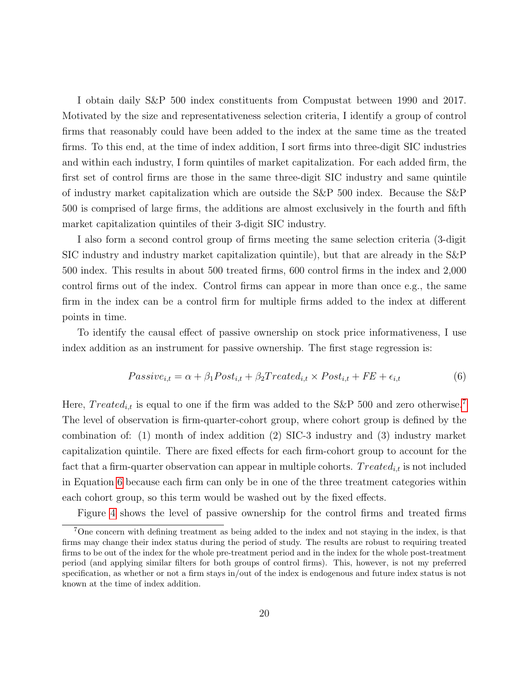I obtain daily S&P 500 index constituents from Compustat between 1990 and 2017. Motivated by the size and representativeness selection criteria, I identify a group of control firms that reasonably could have been added to the index at the same time as the treated firms. To this end, at the time of index addition, I sort firms into three-digit SIC industries and within each industry, I form quintiles of market capitalization. For each added firm, the first set of control firms are those in the same three-digit SIC industry and same quintile of industry market capitalization which are outside the S&P 500 index. Because the S&P 500 is comprised of large firms, the additions are almost exclusively in the fourth and fifth market capitalization quintiles of their 3-digit SIC industry.

I also form a second control group of firms meeting the same selection criteria (3-digit SIC industry and industry market capitalization quintile), but that are already in the S&P 500 index. This results in about 500 treated firms, 600 control firms in the index and 2,000 control firms out of the index. Control firms can appear in more than once e.g., the same firm in the index can be a control firm for multiple firms added to the index at different points in time.

To identify the causal effect of passive ownership on stock price informativeness, I use index addition as an instrument for passive ownership. The first stage regression is:

<span id="page-19-1"></span>
$$
Passive_{i,t} = \alpha + \beta_1 Post_{i,t} + \beta_2 Treated_{i,t} \times Post_{i,t} + FE + \epsilon_{i,t}
$$
(6)

Here,  $Treated_{i,t}$  is equal to one if the firm was added to the S&P 500 and zero otherwise.<sup>[7](#page-19-0)</sup> The level of observation is firm-quarter-cohort group, where cohort group is defined by the combination of: (1) month of index addition (2) SIC-3 industry and (3) industry market capitalization quintile. There are fixed effects for each firm-cohort group to account for the fact that a firm-quarter observation can appear in multiple cohorts. Treated<sub>it</sub> is not included in Equation [6](#page-19-1) because each firm can only be in one of the three treatment categories within each cohort group, so this term would be washed out by the fixed effects.

<span id="page-19-0"></span>Figure [4](#page-20-0) shows the level of passive ownership for the control firms and treated firms

<sup>7</sup>One concern with defining treatment as being added to the index and not staying in the index, is that firms may change their index status during the period of study. The results are robust to requiring treated firms to be out of the index for the whole pre-treatment period and in the index for the whole post-treatment period (and applying similar filters for both groups of control firms). This, however, is not my preferred specification, as whether or not a firm stays in/out of the index is endogenous and future index status is not known at the time of index addition.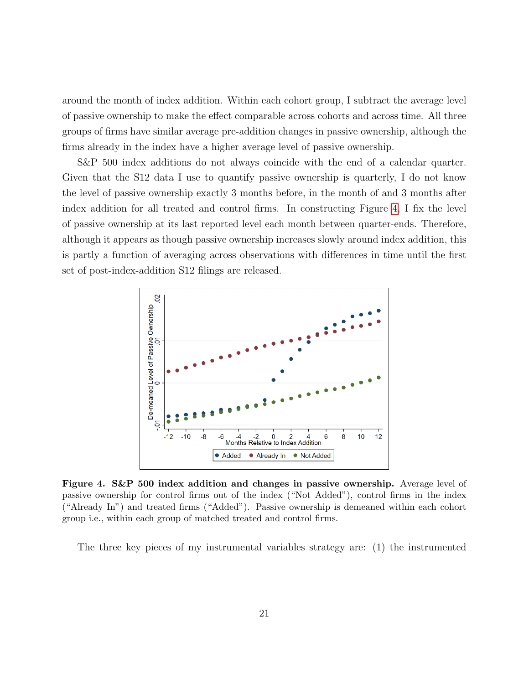around the month of index addition. Within each cohort group, I subtract the average level of passive ownership to make the effect comparable across cohorts and across time. All three groups of firms have similar average pre-addition changes in passive ownership, although the firms already in the index have a higher average level of passive ownership.

S&P 500 index additions do not always coincide with the end of a calendar quarter. Given that the S12 data I use to quantify passive ownership is quarterly, I do not know the level of passive ownership exactly 3 months before, in the month of and 3 months after index addition for all treated and control firms. In constructing Figure [4,](#page-20-0) I fix the level of passive ownership at its last reported level each month between quarter-ends. Therefore, although it appears as though passive ownership increases slowly around index addition, this is partly a function of averaging across observations with differences in time until the first set of post-index-addition S12 filings are released.

<span id="page-20-0"></span>

Figure 4. S&P 500 index addition and changes in passive ownership. Average level of passive ownership for control firms out of the index ("Not Added"), control firms in the index ("Already In") and treated firms ("Added"). Passive ownership is demeaned within each cohort group i.e., within each group of matched treated and control firms.

The three key pieces of my instrumental variables strategy are: (1) the instrumented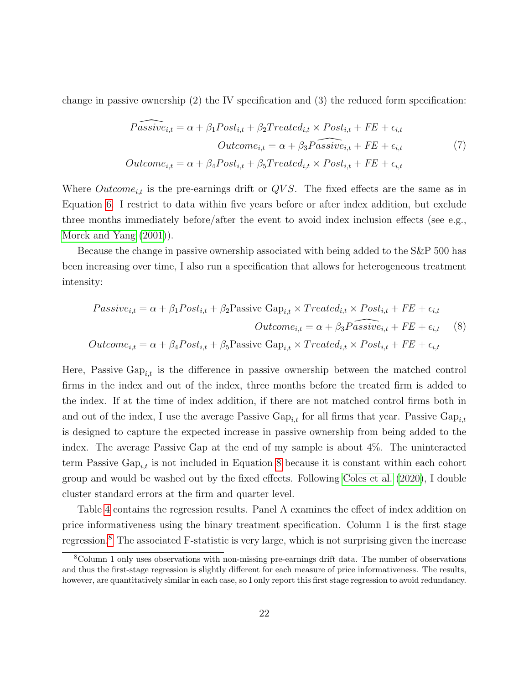change in passive ownership (2) the IV specification and (3) the reduced form specification:

$$
\widehat{Passive}_{i,t} = \alpha + \beta_1 Post_{i,t} + \beta_2 Treated_{i,t} \times Post_{i,t} + FE + \epsilon_{i,t}
$$
  
\n
$$
Outcome_{i,t} = \alpha + \beta_3 \widehat{Passive}_{i,t} + FE + \epsilon_{i,t}
$$
  
\n
$$
Outcome_{i,t} = \alpha + \beta_4 Post_{i,t} + \beta_5 Treated_{i,t} \times Post_{i,t} + FE + \epsilon_{i,t}
$$
\n(7)

Where  $Outcome_{i,t}$  is the pre-earnings drift or  $QVS$ . The fixed effects are the same as in Equation [6.](#page-19-1) I restrict to data within five years before or after index addition, but exclude three months immediately before/after the event to avoid index inclusion effects (see e.g., [Morck and Yang](#page-52-10) [\(2001\)](#page-52-10)).

Because the change in passive ownership associated with being added to the S&P 500 has been increasing over time, I also run a specification that allows for heterogeneous treatment intensity:

<span id="page-21-0"></span>
$$
Passive_{i,t} = \alpha + \beta_1 Post_{i,t} + \beta_2 Passive Gap_{i,t} \times Treated_{i,t} \times Post_{i,t} + FE + \epsilon_{i,t}
$$
  
Outcome<sub>i,t</sub> =  $\alpha + \beta_3 Passive_{i,t} + FE + \epsilon_{i,t}$  (8)  
Outcome<sub>i,t</sub> =  $\alpha + \beta_4 Post_{i,t} + \beta_5 Passive Gap_{i,t} \times Treated_{i,t} \times Post_{i,t} + FE + \epsilon_{i,t}$ 

Here, Passive  $\text{Gap}_{i,t}$  is the difference in passive ownership between the matched control firms in the index and out of the index, three months before the treated firm is added to the index. If at the time of index addition, if there are not matched control firms both in and out of the index, I use the average Passive  $Gap_{i,t}$  for all firms that year. Passive  $Gap_{i,t}$ is designed to capture the expected increase in passive ownership from being added to the index. The average Passive Gap at the end of my sample is about 4%. The uninteracted term Passive  $\text{Gap}_{i,t}$  is not included in Equation [8](#page-21-0) because it is constant within each cohort group and would be washed out by the fixed effects. Following [Coles et al.](#page-49-4) [\(2020\)](#page-49-4), I double cluster standard errors at the firm and quarter level.

Table [4](#page-23-0) contains the regression results. Panel A examines the effect of index addition on price informativeness using the binary treatment specification. Column 1 is the first stage regression.[8](#page-21-1) The associated F-statistic is very large, which is not surprising given the increase

<span id="page-21-1"></span><sup>8</sup>Column 1 only uses observations with non-missing pre-earnings drift data. The number of observations and thus the first-stage regression is slightly different for each measure of price informativeness. The results, however, are quantitatively similar in each case, so I only report this first stage regression to avoid redundancy.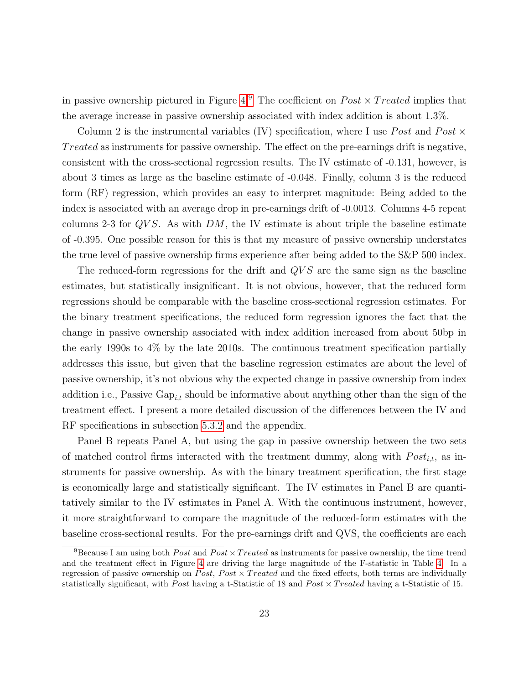in passive ownership pictured in Figure [4.](#page-20-0)<sup>[9](#page-22-0)</sup> The coefficient on  $Post \times Treated$  implies that the average increase in passive ownership associated with index addition is about 1.3%.

Column 2 is the instrumental variables (IV) specification, where I use *Post* and *Post*  $\times$ Treated as instruments for passive ownership. The effect on the pre-earnings drift is negative, consistent with the cross-sectional regression results. The IV estimate of -0.131, however, is about 3 times as large as the baseline estimate of -0.048. Finally, column 3 is the reduced form (RF) regression, which provides an easy to interpret magnitude: Being added to the index is associated with an average drop in pre-earnings drift of -0.0013. Columns 4-5 repeat columns 2-3 for  $QVS$ . As with  $DM$ , the IV estimate is about triple the baseline estimate of -0.395. One possible reason for this is that my measure of passive ownership understates the true level of passive ownership firms experience after being added to the S&P 500 index.

The reduced-form regressions for the drift and  $QVS$  are the same sign as the baseline estimates, but statistically insignificant. It is not obvious, however, that the reduced form regressions should be comparable with the baseline cross-sectional regression estimates. For the binary treatment specifications, the reduced form regression ignores the fact that the change in passive ownership associated with index addition increased from about 50bp in the early 1990s to 4% by the late 2010s. The continuous treatment specification partially addresses this issue, but given that the baseline regression estimates are about the level of passive ownership, it's not obvious why the expected change in passive ownership from index addition i.e., Passive  $\text{Gap}_{it}$  should be informative about anything other than the sign of the treatment effect. I present a more detailed discussion of the differences between the IV and RF specifications in subsection [5.3.2](#page-28-0) and the appendix.

Panel B repeats Panel A, but using the gap in passive ownership between the two sets of matched control firms interacted with the treatment dummy, along with  $Post_{i,t}$ , as instruments for passive ownership. As with the binary treatment specification, the first stage is economically large and statistically significant. The IV estimates in Panel B are quantitatively similar to the IV estimates in Panel A. With the continuous instrument, however, it more straightforward to compare the magnitude of the reduced-form estimates with the baseline cross-sectional results. For the pre-earnings drift and QVS, the coefficients are each

<span id="page-22-0"></span><sup>&</sup>lt;sup>9</sup>Because I am using both *Post* and *Post*  $\times Treated$  as instruments for passive ownership, the time trend and the treatment effect in Figure [4](#page-20-0) are driving the large magnitude of the F-statistic in Table [4.](#page-23-0) In a regression of passive ownership on Post, Post  $\times$  Treated and the fixed effects, both terms are individually statistically significant, with Post having a t-Statistic of 18 and Post  $\times$  Treated having a t-Statistic of 15.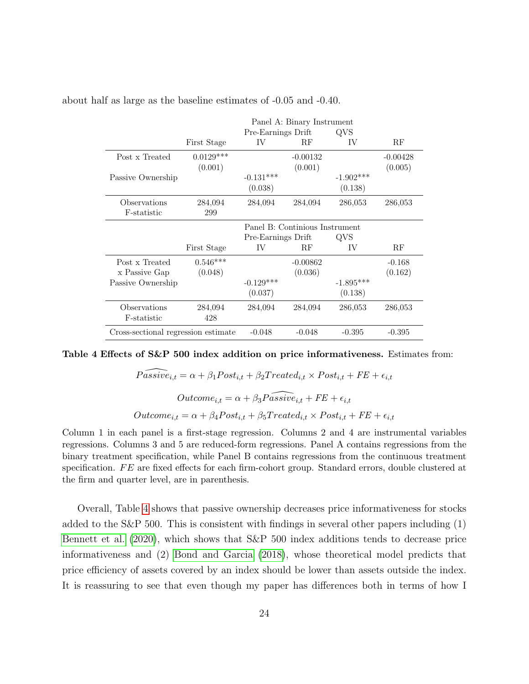|                                     | Panel A: Binary Instrument |                    |                                |             |            |  |  |
|-------------------------------------|----------------------------|--------------------|--------------------------------|-------------|------------|--|--|
|                                     |                            | Pre-Earnings Drift |                                | QVS         |            |  |  |
|                                     | First Stage                | IV                 | RF                             | IV          | RF         |  |  |
| Post x Treated                      | $0.0129***$                |                    | $-0.00132$                     |             | $-0.00428$ |  |  |
|                                     | (0.001)                    |                    | (0.001)                        |             | (0.005)    |  |  |
| Passive Ownership                   |                            | $-0.131***$        |                                | $-1.902***$ |            |  |  |
|                                     |                            | (0.038)            |                                | (0.138)     |            |  |  |
| Observations                        | 284,094                    | 284,094            | 284,094                        | 286,053     | 286,053    |  |  |
| F-statistic                         | 299                        |                    |                                |             |            |  |  |
|                                     |                            |                    | Panel B: Continious Instrument |             |            |  |  |
|                                     |                            | Pre-Earnings Drift |                                | OVS         |            |  |  |
|                                     | First Stage                | IV                 | RF                             | IV          | RF         |  |  |
| Post x Treated                      | $0.546***$                 |                    | $-0.00862$                     |             | $-0.168$   |  |  |
| x Passive Gap                       | (0.048)                    |                    | (0.036)                        |             | (0.162)    |  |  |
| Passive Ownership                   |                            | $-0.129***$        |                                | $-1.895***$ |            |  |  |
|                                     |                            | (0.037)            |                                | (0.138)     |            |  |  |
| Observations                        | 284,094                    | 284,094            | 284,094                        | 286,053     | 286,053    |  |  |
| F-statistic                         | 428                        |                    |                                |             |            |  |  |
| Cross-sectional regression estimate |                            | $-0.048$           | $-0.048$                       | $-0.395$    | $-0.395$   |  |  |

<span id="page-23-0"></span>about half as large as the baseline estimates of -0.05 and -0.40.

#### Table 4 Effects of S&P 500 index addition on price informativeness. Estimates from:

$$
\widehat{Passive}_{i,t} = \alpha + \beta_1 Post_{i,t} + \beta_2 Treated_{i,t} \times Post_{i,t} + FE + \epsilon_{i,t}
$$
  
\n
$$
Outcome_{i,t} = \alpha + \beta_3 \widehat{Passive}_{i,t} + FE + \epsilon_{i,t}
$$
  
\n
$$
Outcome_{i,t} = \alpha + \beta_4 Post_{i,t} + \beta_5 Treated_{i,t} \times Post_{i,t} + FE + \epsilon_{i,t}
$$

Column 1 in each panel is a first-stage regression. Columns 2 and 4 are instrumental variables regressions. Columns 3 and 5 are reduced-form regressions. Panel A contains regressions from the binary treatment specification, while Panel B contains regressions from the continuous treatment specification.  $FE$  are fixed effects for each firm-cohort group. Standard errors, double clustered at the firm and quarter level, are in parenthesis.

Overall, Table [4](#page-23-0) shows that passive ownership decreases price informativeness for stocks added to the S&P 500. This is consistent with findings in several other papers including (1) [Bennett et al.](#page-48-3) [\(2020\)](#page-48-3), which shows that S&P 500 index additions tends to decrease price informativeness and (2) [Bond and Garcia](#page-48-6) [\(2018\)](#page-48-6), whose theoretical model predicts that price efficiency of assets covered by an index should be lower than assets outside the index. It is reassuring to see that even though my paper has differences both in terms of how I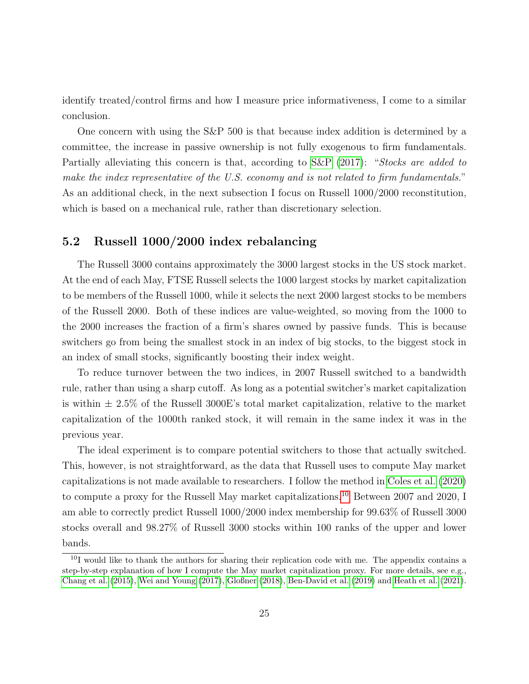identify treated/control firms and how I measure price informativeness, I come to a similar conclusion.

One concern with using the S&P 500 is that because index addition is determined by a committee, the increase in passive ownership is not fully exogenous to firm fundamentals. Partially alleviating this concern is that, according to [S&P](#page-52-11) [\(2017\)](#page-52-11): "Stocks are added to make the index representative of the U.S. economy and is not related to firm fundamentals." As an additional check, in the next subsection I focus on Russell 1000/2000 reconstitution, which is based on a mechanical rule, rather than discretionary selection.

## 5.2 Russell 1000/2000 index rebalancing

The Russell 3000 contains approximately the 3000 largest stocks in the US stock market. At the end of each May, FTSE Russell selects the 1000 largest stocks by market capitalization to be members of the Russell 1000, while it selects the next 2000 largest stocks to be members of the Russell 2000. Both of these indices are value-weighted, so moving from the 1000 to the 2000 increases the fraction of a firm's shares owned by passive funds. This is because switchers go from being the smallest stock in an index of big stocks, to the biggest stock in an index of small stocks, significantly boosting their index weight.

To reduce turnover between the two indices, in 2007 Russell switched to a bandwidth rule, rather than using a sharp cutoff. As long as a potential switcher's market capitalization is within  $\pm 2.5\%$  of the Russell 3000E's total market capitalization, relative to the market capitalization of the 1000th ranked stock, it will remain in the same index it was in the previous year.

The ideal experiment is to compare potential switchers to those that actually switched. This, however, is not straightforward, as the data that Russell uses to compute May market capitalizations is not made available to researchers. I follow the method in [Coles et al.](#page-49-4) [\(2020\)](#page-49-4) to compute a proxy for the Russell May market capitalizations.<sup>[10](#page-24-0)</sup> Between 2007 and 2020, I am able to correctly predict Russell 1000/2000 index membership for 99.63% of Russell 3000 stocks overall and 98.27% of Russell 3000 stocks within 100 ranks of the upper and lower bands.

<span id="page-24-0"></span><sup>10</sup>I would like to thank the authors for sharing their replication code with me. The appendix contains a step-by-step explanation of how I compute the May market capitalization proxy. For more details, see e.g., [Chang et al.](#page-49-8) [\(2015\)](#page-49-8), [Wei and Young](#page-53-1) [\(2017\)](#page-53-1), [Gloßner](#page-50-6) [\(2018\)](#page-50-6), [Ben-David et al.](#page-48-10) [\(2019\)](#page-48-10) and [Heath et al.](#page-51-6) [\(2021\)](#page-51-6).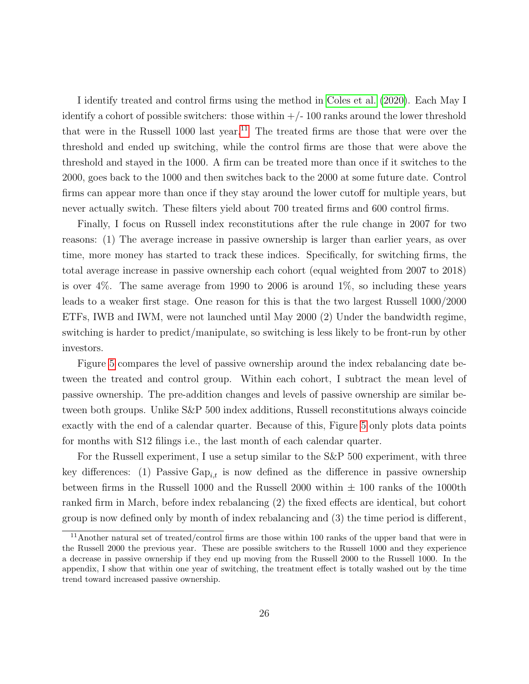I identify treated and control firms using the method in [Coles et al.](#page-49-4) [\(2020\)](#page-49-4). Each May I identify a cohort of possible switchers: those within  $+/-100$  ranks around the lower threshold that were in the Russell 1000 last year.<sup>[11](#page-25-0)</sup> The treated firms are those that were over the threshold and ended up switching, while the control firms are those that were above the threshold and stayed in the 1000. A firm can be treated more than once if it switches to the 2000, goes back to the 1000 and then switches back to the 2000 at some future date. Control firms can appear more than once if they stay around the lower cutoff for multiple years, but never actually switch. These filters yield about 700 treated firms and 600 control firms.

Finally, I focus on Russell index reconstitutions after the rule change in 2007 for two reasons: (1) The average increase in passive ownership is larger than earlier years, as over time, more money has started to track these indices. Specifically, for switching firms, the total average increase in passive ownership each cohort (equal weighted from 2007 to 2018) is over 4%. The same average from 1990 to 2006 is around 1%, so including these years leads to a weaker first stage. One reason for this is that the two largest Russell 1000/2000 ETFs, IWB and IWM, were not launched until May 2000 (2) Under the bandwidth regime, switching is harder to predict/manipulate, so switching is less likely to be front-run by other investors.

Figure [5](#page-26-0) compares the level of passive ownership around the index rebalancing date between the treated and control group. Within each cohort, I subtract the mean level of passive ownership. The pre-addition changes and levels of passive ownership are similar between both groups. Unlike S&P 500 index additions, Russell reconstitutions always coincide exactly with the end of a calendar quarter. Because of this, Figure [5](#page-26-0) only plots data points for months with S12 filings i.e., the last month of each calendar quarter.

For the Russell experiment, I use a setup similar to the S&P 500 experiment, with three key differences: (1) Passive  $\text{Gap}_{i,t}$  is now defined as the difference in passive ownership between firms in the Russell 1000 and the Russell 2000 within  $\pm$  100 ranks of the 1000th ranked firm in March, before index rebalancing (2) the fixed effects are identical, but cohort group is now defined only by month of index rebalancing and (3) the time period is different,

<span id="page-25-0"></span><sup>11</sup>Another natural set of treated/control firms are those within 100 ranks of the upper band that were in the Russell 2000 the previous year. These are possible switchers to the Russell 1000 and they experience a decrease in passive ownership if they end up moving from the Russell 2000 to the Russell 1000. In the appendix, I show that within one year of switching, the treatment effect is totally washed out by the time trend toward increased passive ownership.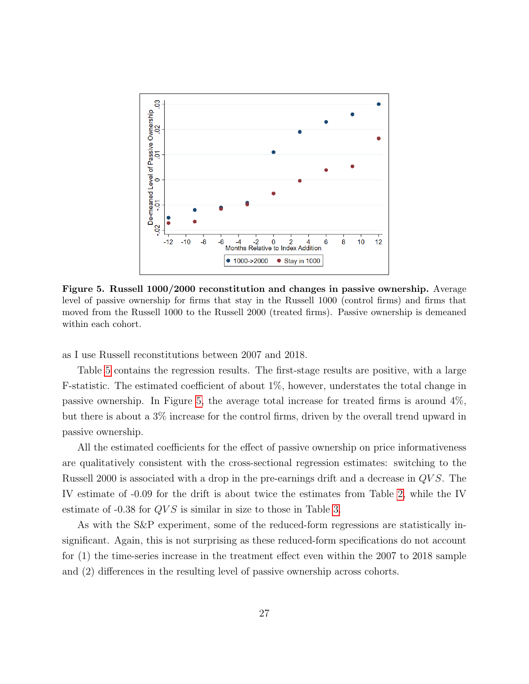<span id="page-26-0"></span>

Figure 5. Russell 1000/2000 reconstitution and changes in passive ownership. Average level of passive ownership for firms that stay in the Russell 1000 (control firms) and firms that moved from the Russell 1000 to the Russell 2000 (treated firms). Passive ownership is demeaned within each cohort.

as I use Russell reconstitutions between 2007 and 2018.

Table [5](#page-27-0) contains the regression results. The first-stage results are positive, with a large F-statistic. The estimated coefficient of about 1%, however, understates the total change in passive ownership. In Figure [5,](#page-26-0) the average total increase for treated firms is around 4%, but there is about a 3% increase for the control firms, driven by the overall trend upward in passive ownership.

All the estimated coefficients for the effect of passive ownership on price informativeness are qualitatively consistent with the cross-sectional regression estimates: switching to the Russell 2000 is associated with a drop in the pre-earnings drift and a decrease in QV S. The IV estimate of -0.09 for the drift is about twice the estimates from Table [2,](#page-15-0) while the IV estimate of  $-0.38$  for  $QVS$  is similar in size to those in Table [3.](#page-17-0)

As with the S&P experiment, some of the reduced-form regressions are statistically insignificant. Again, this is not surprising as these reduced-form specifications do not account for (1) the time-series increase in the treatment effect even within the 2007 to 2018 sample and (2) differences in the resulting level of passive ownership across cohorts.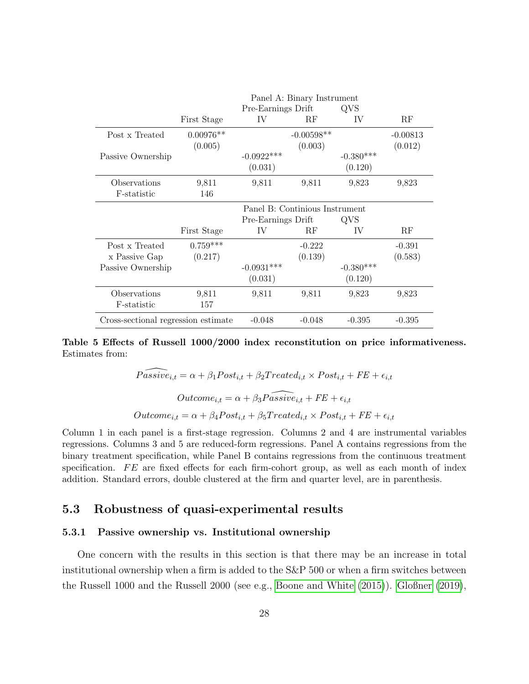<span id="page-27-0"></span>

|                                     | Panel A: Binary Instrument |                                |              |             |            |  |  |
|-------------------------------------|----------------------------|--------------------------------|--------------|-------------|------------|--|--|
|                                     |                            | Pre-Earnings Drift             |              | QVS         |            |  |  |
|                                     | First Stage                | IV                             | RF           | IV          | RF         |  |  |
| Post x Treated                      | $0.00976**$                |                                | $-0.00598**$ |             | $-0.00813$ |  |  |
|                                     | (0.005)                    |                                | (0.003)      |             | (0.012)    |  |  |
| Passive Ownership                   |                            | $-0.0922***$                   |              | $-0.380***$ |            |  |  |
|                                     |                            | (0.031)                        |              | (0.120)     |            |  |  |
| Observations                        | 9,811                      | 9,811                          | 9,811        | 9,823       | 9,823      |  |  |
| F-statistic                         | 146                        |                                |              |             |            |  |  |
|                                     |                            | Panel B: Continious Instrument |              |             |            |  |  |
|                                     |                            | Pre-Earnings Drift             |              | <b>OVS</b>  |            |  |  |
|                                     | First Stage                | IV                             | RF           | IV          | RF         |  |  |
| Post x Treated                      | $0.759***$                 |                                | $-0.222$     |             | $-0.391$   |  |  |
| x Passive Gap                       | (0.217)                    |                                | (0.139)      |             | (0.583)    |  |  |
| Passive Ownership                   |                            | $-0.0931***$                   |              | $-0.380***$ |            |  |  |
|                                     |                            | (0.031)                        |              | (0.120)     |            |  |  |
| Observations                        | 9,811                      | 9,811                          | 9,811        | 9,823       | 9,823      |  |  |
| F-statistic                         | 157                        |                                |              |             |            |  |  |
| Cross-sectional regression estimate |                            | $-0.048$                       | $-0.048$     | $-0.395$    | $-0.395$   |  |  |

Table 5 Effects of Russell 1000/2000 index reconstitution on price informativeness. Estimates from:

> $\widehat{Passive}_{i,t} = \alpha + \beta_1 Post_{i,t} + \beta_2 Treated_{i,t} \times Post_{i,t} + FE + \epsilon_{i,t}$  $Outcome_{i,t} = \alpha + \beta_3 \widehat{Passive}_{i,t} + FE + \epsilon_{i,t}$  $Outcome_{i,t} = \alpha + \beta_4 Post_{i,t} + \beta_5 Treated_{i,t} \times Post_{i,t} + FE + \epsilon_{i,t}$

Column 1 in each panel is a first-stage regression. Columns 2 and 4 are instrumental variables regressions. Columns 3 and 5 are reduced-form regressions. Panel A contains regressions from the binary treatment specification, while Panel B contains regressions from the continuous treatment specification.  $FE$  are fixed effects for each firm-cohort group, as well as each month of index addition. Standard errors, double clustered at the firm and quarter level, are in parenthesis.

## 5.3 Robustness of quasi-experimental results

### 5.3.1 Passive ownership vs. Institutional ownership

One concern with the results in this section is that there may be an increase in total institutional ownership when a firm is added to the S&P 500 or when a firm switches between the Russell 1000 and the Russell 2000 (see e.g., [Boone and White](#page-49-9) [\(2015\)](#page-49-9)). [Gloßner](#page-51-7) [\(2019\)](#page-51-7),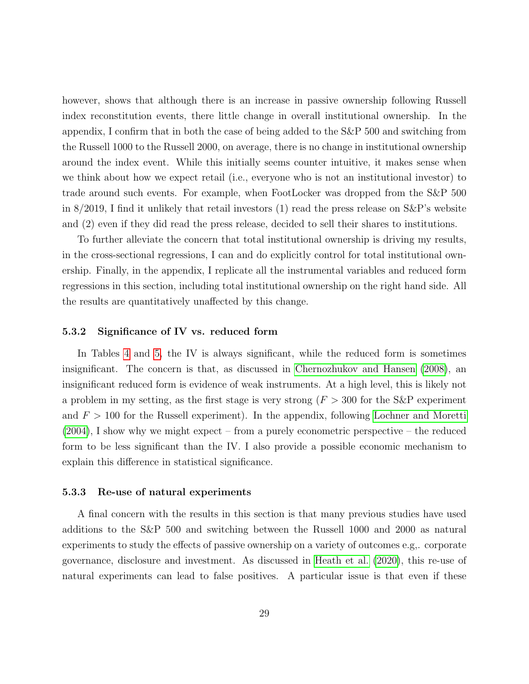however, shows that although there is an increase in passive ownership following Russell index reconstitution events, there little change in overall institutional ownership. In the appendix, I confirm that in both the case of being added to the S&P 500 and switching from the Russell 1000 to the Russell 2000, on average, there is no change in institutional ownership around the index event. While this initially seems counter intuitive, it makes sense when we think about how we expect retail (i.e., everyone who is not an institutional investor) to trade around such events. For example, when FootLocker was dropped from the S&P 500 in 8/2019, I find it unlikely that retail investors (1) read the press release on S&P's website and (2) even if they did read the press release, decided to sell their shares to institutions.

To further alleviate the concern that total institutional ownership is driving my results, in the cross-sectional regressions, I can and do explicitly control for total institutional ownership. Finally, in the appendix, I replicate all the instrumental variables and reduced form regressions in this section, including total institutional ownership on the right hand side. All the results are quantitatively unaffected by this change.

#### <span id="page-28-0"></span>5.3.2 Significance of IV vs. reduced form

In Tables [4](#page-23-0) and [5,](#page-27-0) the IV is always significant, while the reduced form is sometimes insignificant. The concern is that, as discussed in [Chernozhukov and Hansen](#page-49-10) [\(2008\)](#page-49-10), an insignificant reduced form is evidence of weak instruments. At a high level, this is likely not a problem in my setting, as the first stage is very strong  $(F > 300$  for the S&P experiment and  $F > 100$  for the Russell experiment). In the appendix, following [Lochner and Moretti](#page-52-12)  $(2004)$ , I show why we might expect – from a purely econometric perspective – the reduced form to be less significant than the IV. I also provide a possible economic mechanism to explain this difference in statistical significance.

#### 5.3.3 Re-use of natural experiments

A final concern with the results in this section is that many previous studies have used additions to the S&P 500 and switching between the Russell 1000 and 2000 as natural experiments to study the effects of passive ownership on a variety of outcomes e.g,. corporate governance, disclosure and investment. As discussed in [Heath et al.](#page-51-8) [\(2020\)](#page-51-8), this re-use of natural experiments can lead to false positives. A particular issue is that even if these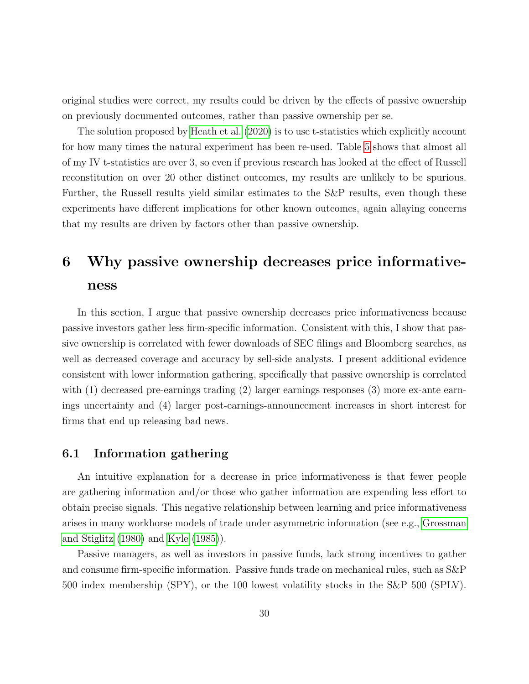original studies were correct, my results could be driven by the effects of passive ownership on previously documented outcomes, rather than passive ownership per se.

The solution proposed by [Heath et al.](#page-51-8) [\(2020\)](#page-51-8) is to use t-statistics which explicitly account for how many times the natural experiment has been re-used. Table [5](#page-27-0) shows that almost all of my IV t-statistics are over 3, so even if previous research has looked at the effect of Russell reconstitution on over 20 other distinct outcomes, my results are unlikely to be spurious. Further, the Russell results yield similar estimates to the S&P results, even though these experiments have different implications for other known outcomes, again allaying concerns that my results are driven by factors other than passive ownership.

# <span id="page-29-0"></span>6 Why passive ownership decreases price informativeness

In this section, I argue that passive ownership decreases price informativeness because passive investors gather less firm-specific information. Consistent with this, I show that passive ownership is correlated with fewer downloads of SEC filings and Bloomberg searches, as well as decreased coverage and accuracy by sell-side analysts. I present additional evidence consistent with lower information gathering, specifically that passive ownership is correlated with (1) decreased pre-earnings trading (2) larger earnings responses (3) more ex-ante earnings uncertainty and (4) larger post-earnings-announcement increases in short interest for firms that end up releasing bad news.

## 6.1 Information gathering

An intuitive explanation for a decrease in price informativeness is that fewer people are gathering information and/or those who gather information are expending less effort to obtain precise signals. This negative relationship between learning and price informativeness arises in many workhorse models of trade under asymmetric information (see e.g., [Grossman](#page-51-9) [and Stiglitz](#page-51-9) [\(1980\)](#page-51-9) and [Kyle](#page-51-10) [\(1985\)](#page-51-10)).

Passive managers, as well as investors in passive funds, lack strong incentives to gather and consume firm-specific information. Passive funds trade on mechanical rules, such as S&P 500 index membership (SPY), or the 100 lowest volatility stocks in the S&P 500 (SPLV).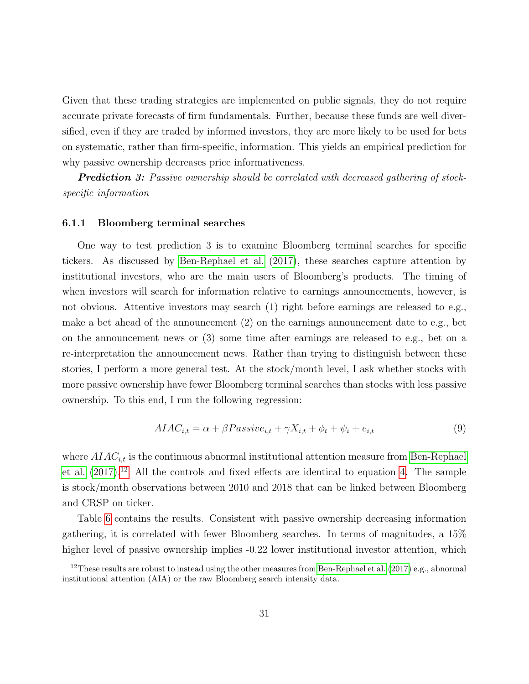Given that these trading strategies are implemented on public signals, they do not require accurate private forecasts of firm fundamentals. Further, because these funds are well diversified, even if they are traded by informed investors, they are more likely to be used for bets on systematic, rather than firm-specific, information. This yields an empirical prediction for why passive ownership decreases price informativeness.

**Prediction 3:** Passive ownership should be correlated with decreased gathering of stockspecific information

#### 6.1.1 Bloomberg terminal searches

One way to test prediction 3 is to examine Bloomberg terminal searches for specific tickers. As discussed by [Ben-Rephael et al.](#page-48-2) [\(2017\)](#page-48-2), these searches capture attention by institutional investors, who are the main users of Bloomberg's products. The timing of when investors will search for information relative to earnings announcements, however, is not obvious. Attentive investors may search (1) right before earnings are released to e.g., make a bet ahead of the announcement (2) on the earnings announcement date to e.g., bet on the announcement news or (3) some time after earnings are released to e.g., bet on a re-interpretation the announcement news. Rather than trying to distinguish between these stories, I perform a more general test. At the stock/month level, I ask whether stocks with more passive ownership have fewer Bloomberg terminal searches than stocks with less passive ownership. To this end, I run the following regression:

<span id="page-30-1"></span>
$$
AIAC_{i,t} = \alpha + \beta Passive_{i,t} + \gamma X_{i,t} + \phi_t + \psi_i + e_{i,t}
$$
\n
$$
(9)
$$

where  $AIAC_{i,t}$  is the continuous abnormal institutional attention measure from [Ben-Rephael](#page-48-2) [et al.](#page-48-2)  $(2017).<sup>12</sup>$  $(2017).<sup>12</sup>$  $(2017).<sup>12</sup>$  $(2017).<sup>12</sup>$  All the controls and fixed effects are identical to equation [4.](#page-13-1) The sample is stock/month observations between 2010 and 2018 that can be linked between Bloomberg and CRSP on ticker.

Table [6](#page-31-0) contains the results. Consistent with passive ownership decreasing information gathering, it is correlated with fewer Bloomberg searches. In terms of magnitudes, a 15% higher level of passive ownership implies  $-0.22$  lower institutional investor attention, which

<span id="page-30-0"></span><sup>&</sup>lt;sup>12</sup>These results are robust to instead using the other measures from [Ben-Rephael et al.](#page-48-2)  $(2017)$  e.g., abnormal institutional attention (AIA) or the raw Bloomberg search intensity data.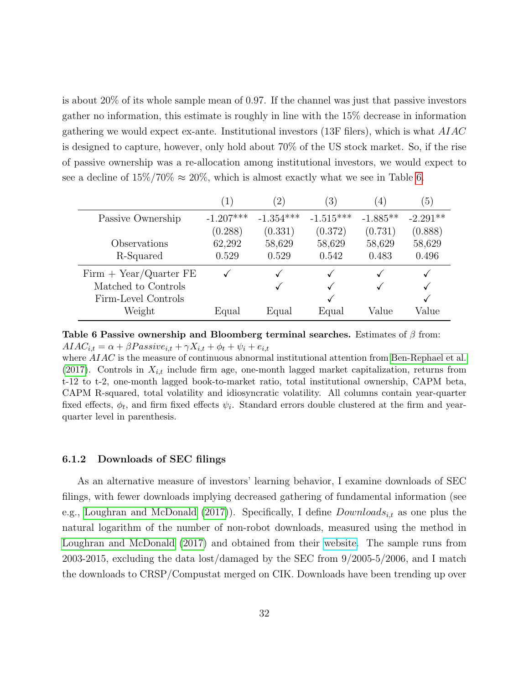is about 20% of its whole sample mean of 0.97. If the channel was just that passive investors gather no information, this estimate is roughly in line with the 15% decrease in information gathering we would expect ex-ante. Institutional investors (13F filers), which is what AIAC is designed to capture, however, only hold about 70% of the US stock market. So, if the rise of passive ownership was a re-allocation among institutional investors, we would expect to see a decline of  $15\%/70\% \approx 20\%$ , which is almost exactly what we see in Table [6.](#page-31-0)

<span id="page-31-0"></span>

|                          |             | $\left 2\right\rangle$ | $\left(3\right)$ | $\ket{4}$  | $\left(5\right)$ |
|--------------------------|-------------|------------------------|------------------|------------|------------------|
| Passive Ownership        | $-1.207***$ | $-1.354***$            | $-1.515***$      | $-1.885**$ | $-2.291**$       |
|                          | (0.288)     | (0.331)                | (0.372)          | (0.731)    | (0.888)          |
| Observations             | 62,292      | 58,629                 | 58,629           | 58,629     | 58,629           |
| R-Squared                | 0.529       | 0.529                  | 0.542            | 0.483      | 0.496            |
| $Firm + Year/Quarter FE$ |             |                        |                  |            |                  |
| Matched to Controls      |             |                        |                  |            |                  |
| Firm-Level Controls      |             |                        |                  |            |                  |
| Weight                   | Equal       | Equal                  | Equal            | Value      | Value            |

Table 6 Passive ownership and Bloomberg terminal searches. Estimates of  $\beta$  from:  $AIAC_{i,t} = \alpha + \beta Passive_{i,t} + \gamma X_{i,t} + \phi_t + \psi_i + e_{i,t}$ 

where  $AIAC$  is the measure of continuous abnormal institutional attention from [Ben-Rephael et al.](#page-48-2) [\(2017\)](#page-48-2). Controls in  $X_{i,t}$  include firm age, one-month lagged market capitalization, returns from t-12 to t-2, one-month lagged book-to-market ratio, total institutional ownership, CAPM beta, CAPM R-squared, total volatility and idiosyncratic volatility. All columns contain year-quarter fixed effects,  $\phi_t$ , and firm fixed effects  $\psi_i$ . Standard errors double clustered at the firm and yearquarter level in parenthesis.

#### 6.1.2 Downloads of SEC filings

As an alternative measure of investors' learning behavior, I examine downloads of SEC filings, with fewer downloads implying decreased gathering of fundamental information (see e.g., [Loughran and McDonald](#page-52-1) [\(2017\)](#page-52-1)). Specifically, I define  $Downloads_{i,t}$  as one plus the natural logarithm of the number of non-robot downloads, measured using the method in [Loughran and McDonald](#page-52-1) [\(2017\)](#page-52-1) and obtained from their [website.](https://sraf.nd.edu/data/edgar-server-log/) The sample runs from 2003-2015, excluding the data lost/damaged by the SEC from 9/2005-5/2006, and I match the downloads to CRSP/Compustat merged on CIK. Downloads have been trending up over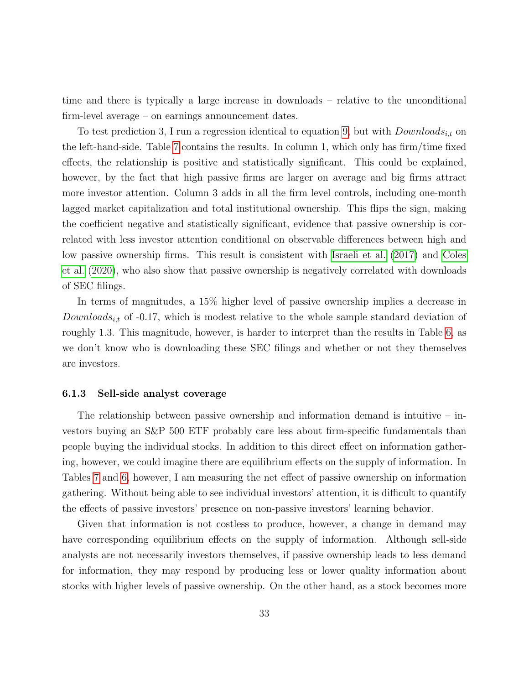time and there is typically a large increase in downloads – relative to the unconditional firm-level average – on earnings announcement dates.

To test prediction 3, I run a regression identical to equation [9,](#page-30-1) but with  $Downloads_{i,t}$  on the left-hand-side. Table [7](#page-33-0) contains the results. In column 1, which only has firm/time fixed effects, the relationship is positive and statistically significant. This could be explained, however, by the fact that high passive firms are larger on average and big firms attract more investor attention. Column 3 adds in all the firm level controls, including one-month lagged market capitalization and total institutional ownership. This flips the sign, making the coefficient negative and statistically significant, evidence that passive ownership is correlated with less investor attention conditional on observable differences between high and low passive ownership firms. This result is consistent with [Israeli et al.](#page-51-11) [\(2017\)](#page-51-11) and [Coles](#page-49-4) [et al.](#page-49-4) [\(2020\)](#page-49-4), who also show that passive ownership is negatively correlated with downloads of SEC filings.

In terms of magnitudes, a 15% higher level of passive ownership implies a decrease in Downloads<sub>it</sub> of -0.17, which is modest relative to the whole sample standard deviation of roughly 1.3. This magnitude, however, is harder to interpret than the results in Table [6,](#page-31-0) as we don't know who is downloading these SEC filings and whether or not they themselves are investors.

### 6.1.3 Sell-side analyst coverage

The relationship between passive ownership and information demand is intuitive – investors buying an S&P 500 ETF probably care less about firm-specific fundamentals than people buying the individual stocks. In addition to this direct effect on information gathering, however, we could imagine there are equilibrium effects on the supply of information. In Tables [7](#page-33-0) and [6,](#page-31-0) however, I am measuring the net effect of passive ownership on information gathering. Without being able to see individual investors' attention, it is difficult to quantify the effects of passive investors' presence on non-passive investors' learning behavior.

Given that information is not costless to produce, however, a change in demand may have corresponding equilibrium effects on the supply of information. Although sell-side analysts are not necessarily investors themselves, if passive ownership leads to less demand for information, they may respond by producing less or lower quality information about stocks with higher levels of passive ownership. On the other hand, as a stock becomes more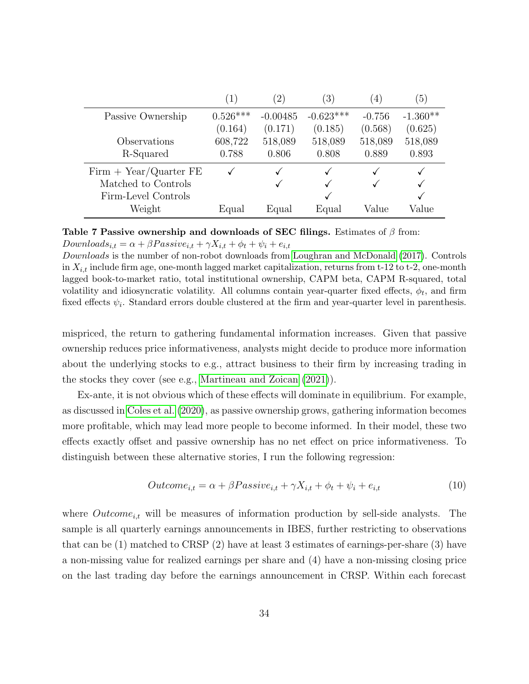<span id="page-33-0"></span>

|                          | (1)        | $\left(2\right)$ | (3)         | $\left( 4\right)$ | $\left(5\right)$ |
|--------------------------|------------|------------------|-------------|-------------------|------------------|
| Passive Ownership        | $0.526***$ | $-0.00485$       | $-0.623***$ | $-0.756$          | $-1.360**$       |
|                          | (0.164)    | (0.171)          | (0.185)     | (0.568)           | (0.625)          |
| Observations             | 608,722    | 518,089          | 518,089     | 518,089           | 518,089          |
| R-Squared                | 0.788      | 0.806            | 0.808       | 0.889             | 0.893            |
| $Firm + Year/Quarter FE$ |            |                  |             |                   |                  |
| Matched to Controls      |            |                  | √           |                   |                  |
| Firm-Level Controls      |            |                  |             |                   |                  |
| Weight                   | Equal      | Equal            | Equal       | Value             | Value            |

Table 7 Passive ownership and downloads of SEC filings. Estimates of  $\beta$  from:  $Downloads_{i,t} = \alpha + \beta Passive_{i,t} + \gamma X_{i,t} + \phi_t + \psi_i + e_{i,t}$ 

Downloads is the number of non-robot downloads from [Loughran and McDonald](#page-52-1) [\(2017\)](#page-52-1). Controls in  $X_{i,t}$  include firm age, one-month lagged market capitalization, returns from t-12 to t-2, one-month lagged book-to-market ratio, total institutional ownership, CAPM beta, CAPM R-squared, total volatility and idiosyncratic volatility. All columns contain year-quarter fixed effects,  $\phi_t$ , and firm fixed effects  $\psi_i$ . Standard errors double clustered at the firm and year-quarter level in parenthesis.

mispriced, the return to gathering fundamental information increases. Given that passive ownership reduces price informativeness, analysts might decide to produce more information about the underlying stocks to e.g., attract business to their firm by increasing trading in the stocks they cover (see e.g., [Martineau and Zoican](#page-52-2) [\(2021\)](#page-52-2)).

Ex-ante, it is not obvious which of these effects will dominate in equilibrium. For example, as discussed in [Coles et al.](#page-49-4) [\(2020\)](#page-49-4), as passive ownership grows, gathering information becomes more profitable, which may lead more people to become informed. In their model, these two effects exactly offset and passive ownership has no net effect on price informativeness. To distinguish between these alternative stories, I run the following regression:

$$
Outcome_{i,t} = \alpha + \beta Passive_{i,t} + \gamma X_{i,t} + \phi_t + \psi_i + e_{i,t}
$$
\n
$$
(10)
$$

where  $Outcome_{i,t}$  will be measures of information production by sell-side analysts. The sample is all quarterly earnings announcements in IBES, further restricting to observations that can be (1) matched to CRSP (2) have at least 3 estimates of earnings-per-share (3) have a non-missing value for realized earnings per share and (4) have a non-missing closing price on the last trading day before the earnings announcement in CRSP. Within each forecast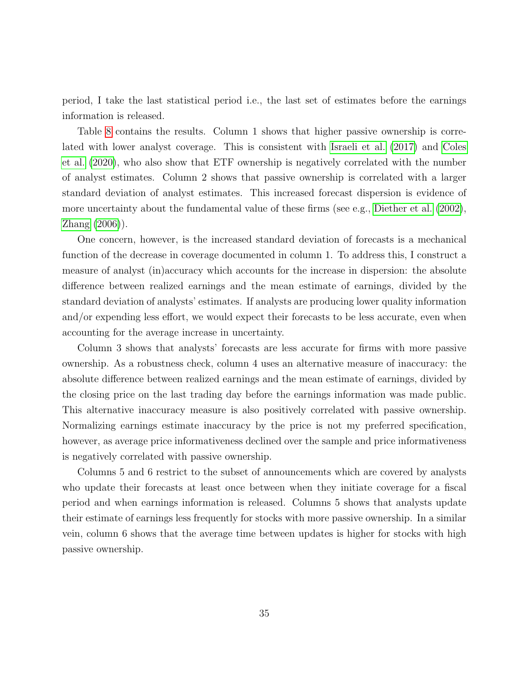period, I take the last statistical period i.e., the last set of estimates before the earnings information is released.

Table [8](#page-35-0) contains the results. Column 1 shows that higher passive ownership is correlated with lower analyst coverage. This is consistent with [Israeli et al.](#page-51-11) [\(2017\)](#page-51-11) and [Coles](#page-49-4) [et al.](#page-49-4) [\(2020\)](#page-49-4), who also show that ETF ownership is negatively correlated with the number of analyst estimates. Column 2 shows that passive ownership is correlated with a larger standard deviation of analyst estimates. This increased forecast dispersion is evidence of more uncertainty about the fundamental value of these firms (see e.g., [Diether et al.](#page-50-7) [\(2002\)](#page-50-7), [Zhang](#page-53-2) [\(2006\)](#page-53-2)).

One concern, however, is the increased standard deviation of forecasts is a mechanical function of the decrease in coverage documented in column 1. To address this, I construct a measure of analyst (in)accuracy which accounts for the increase in dispersion: the absolute difference between realized earnings and the mean estimate of earnings, divided by the standard deviation of analysts' estimates. If analysts are producing lower quality information and/or expending less effort, we would expect their forecasts to be less accurate, even when accounting for the average increase in uncertainty.

Column 3 shows that analysts' forecasts are less accurate for firms with more passive ownership. As a robustness check, column 4 uses an alternative measure of inaccuracy: the absolute difference between realized earnings and the mean estimate of earnings, divided by the closing price on the last trading day before the earnings information was made public. This alternative inaccuracy measure is also positively correlated with passive ownership. Normalizing earnings estimate inaccuracy by the price is not my preferred specification, however, as average price informativeness declined over the sample and price informativeness is negatively correlated with passive ownership.

Columns 5 and 6 restrict to the subset of announcements which are covered by analysts who update their forecasts at least once between when they initiate coverage for a fiscal period and when earnings information is released. Columns 5 shows that analysts update their estimate of earnings less frequently for stocks with more passive ownership. In a similar vein, column 6 shows that the average time between updates is higher for stocks with high passive ownership.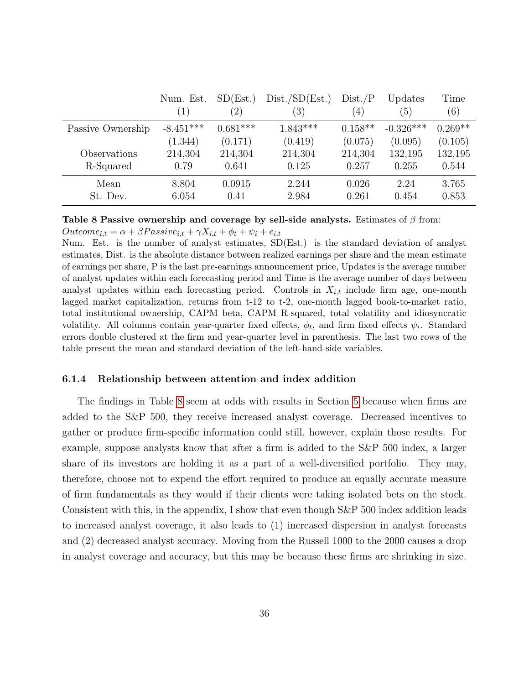<span id="page-35-0"></span>

|                   | Num. Est.<br>$\left(1\right)$ | SD(Est.)<br>$\left(2\right)$ | Dist./SD(Est.)<br>(3) | Dist./P<br>$\left(4\right)$ | Updates<br>(5) | Time<br>(6) |
|-------------------|-------------------------------|------------------------------|-----------------------|-----------------------------|----------------|-------------|
| Passive Ownership | $-8.451***$                   | $0.681***$                   | $1.843***$            | $0.158**$                   | $-0.326***$    | $0.269**$   |
|                   | (1.344)                       | (0.171)                      | (0.419)               | (0.075)                     | (0.095)        | (0.105)     |
| Observations      | 214,304                       | 214,304                      | 214,304               | 214,304                     | 132,195        | 132,195     |
| R-Squared         | 0.79                          | 0.641                        | 0.125                 | 0.257                       | 0.255          | 0.544       |
| Mean              | 8.804                         | 0.0915                       | 2.244                 | 0.026                       | 2.24           | 3.765       |
| St. Dev.          | 6.054                         | 0.41                         | 2.984                 | 0.261                       | 0.454          | 0.853       |

Table 8 Passive ownership and coverage by sell-side analysts. Estimates of  $\beta$  from:  $Outcome_{i,t} = \alpha + \beta Passive_{i,t} + \gamma X_{i,t} + \phi_t + \psi_i + e_{i,t}$ 

Num. Est. is the number of analyst estimates, SD(Est.) is the standard deviation of analyst estimates, Dist. is the absolute distance between realized earnings per share and the mean estimate of earnings per share, P is the last pre-earnings announcement price, Updates is the average number of analyst updates within each forecasting period and Time is the average number of days between analyst updates within each forecasting period. Controls in  $X_{i,t}$  include firm age, one-month lagged market capitalization, returns from t-12 to t-2, one-month lagged book-to-market ratio, total institutional ownership, CAPM beta, CAPM R-squared, total volatility and idiosyncratic volatility. All columns contain year-quarter fixed effects,  $\phi_t$ , and firm fixed effects  $\psi_i$ . Standard errors double clustered at the firm and year-quarter level in parenthesis. The last two rows of the table present the mean and standard deviation of the left-hand-side variables.

## 6.1.4 Relationship between attention and index addition

The findings in Table [8](#page-35-0) seem at odds with results in Section [5](#page-18-1) because when firms are added to the S&P 500, they receive increased analyst coverage. Decreased incentives to gather or produce firm-specific information could still, however, explain those results. For example, suppose analysts know that after a firm is added to the S&P 500 index, a larger share of its investors are holding it as a part of a well-diversified portfolio. They may, therefore, choose not to expend the effort required to produce an equally accurate measure of firm fundamentals as they would if their clients were taking isolated bets on the stock. Consistent with this, in the appendix, I show that even though S&P 500 index addition leads to increased analyst coverage, it also leads to (1) increased dispersion in analyst forecasts and (2) decreased analyst accuracy. Moving from the Russell 1000 to the 2000 causes a drop in analyst coverage and accuracy, but this may be because these firms are shrinking in size.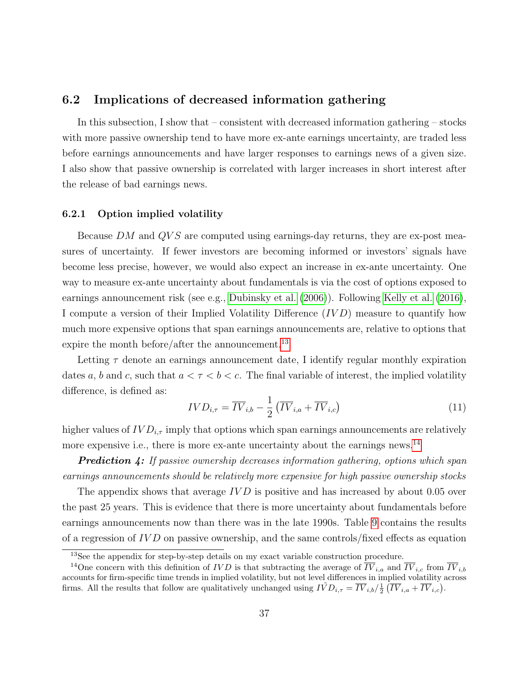## 6.2 Implications of decreased information gathering

In this subsection, I show that – consistent with decreased information gathering – stocks with more passive ownership tend to have more ex-ante earnings uncertainty, are traded less before earnings announcements and have larger responses to earnings news of a given size. I also show that passive ownership is correlated with larger increases in short interest after the release of bad earnings news.

### 6.2.1 Option implied volatility

Because  $DM$  and  $QVS$  are computed using earnings-day returns, they are ex-post measures of uncertainty. If fewer investors are becoming informed or investors' signals have become less precise, however, we would also expect an increase in ex-ante uncertainty. One way to measure ex-ante uncertainty about fundamentals is via the cost of options exposed to earnings announcement risk (see e.g., [Dubinsky et al.](#page-50-8) [\(2006\)](#page-50-8)). Following [Kelly et al.](#page-51-2) [\(2016\)](#page-51-2), I compute a version of their Implied Volatility Difference (IV D) measure to quantify how much more expensive options that span earnings announcements are, relative to options that expire the month before/after the announcement.<sup>[13](#page-36-0)</sup>

Letting  $\tau$  denote an earnings announcement date, I identify regular monthly expiration dates a, b and c, such that  $a < \tau < b < c$ . The final variable of interest, the implied volatility difference, is defined as:

$$
IVD_{i,\tau} = \overline{IV}_{i,b} - \frac{1}{2} \left( \overline{IV}_{i,a} + \overline{IV}_{i,c} \right) \tag{11}
$$

higher values of  $IVD_{i,\tau}$  imply that options which span earnings announcements are relatively more expensive i.e., there is more ex-ante uncertainty about the earnings news.<sup>[14](#page-36-1)</sup>

**Prediction 4:** If passive ownership decreases information gathering, options which span earnings announcements should be relatively more expensive for high passive ownership stocks

The appendix shows that average  $IVD$  is positive and has increased by about 0.05 over the past 25 years. This is evidence that there is more uncertainty about fundamentals before earnings announcements now than there was in the late 1990s. Table [9](#page-37-0) contains the results of a regression of  $IVD$  on passive ownership, and the same controls/fixed effects as equation

<span id="page-36-1"></span><span id="page-36-0"></span><sup>&</sup>lt;sup>13</sup>See the appendix for step-by-step details on my exact variable construction procedure.

<sup>&</sup>lt;sup>14</sup>One concern with this definition of *IVD* is that subtracting the average of  $\overline{IV}_{i,a}$  and  $\overline{IV}_{i,c}$  from  $\overline{IV}_{i,b}$ accounts for firm-specific time trends in implied volatility, but not level differences in implied volatility across firms. All the results that follow are qualitatively unchanged using  $I\tilde{V}D_{i,\tau} = \overline{IV}_{i,b}/\frac{1}{2}(\overline{IV}_{i,a} + \overline{IV}_{i,c})$ .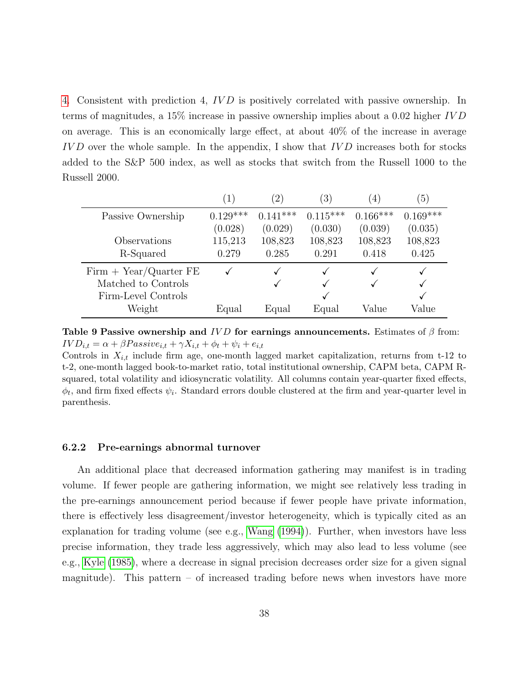[4.](#page-13-1) Consistent with prediction 4, IV D is positively correlated with passive ownership. In terms of magnitudes, a 15% increase in passive ownership implies about a 0.02 higher IV D on average. This is an economically large effect, at about 40% of the increase in average  $IVD$  over the whole sample. In the appendix, I show that  $IVD$  increases both for stocks added to the S&P 500 index, as well as stocks that switch from the Russell 1000 to the Russell 2000.

<span id="page-37-0"></span>

|                          | 1)         | $\left( 2\right)$ | $\left(3\right)$ | $\left( 4\right)$ | $\sqrt{5}$ |
|--------------------------|------------|-------------------|------------------|-------------------|------------|
| Passive Ownership        | $0.129***$ | $0.141***$        | $0.115***$       | $0.166***$        | $0.169***$ |
|                          | (0.028)    | (0.029)           | (0.030)          | (0.039)           | (0.035)    |
| Observations             | 115,213    | 108,823           | 108,823          | 108,823           | 108,823    |
| R-Squared                | 0.279      | 0.285             | 0.291            | 0.418             | 0.425      |
| $Firm + Year/Quarter FE$ |            |                   |                  |                   |            |
| Matched to Controls      |            |                   |                  |                   |            |
| Firm-Level Controls      |            |                   |                  |                   |            |
| Weight                   | Equal      | Equal             | Equal            | Value             | Value      |

Table 9 Passive ownership and IVD for earnings announcements. Estimates of  $\beta$  from:  $IVD_{i,t} = \alpha + \beta Passive_{i,t} + \gamma X_{i,t} + \phi_t + \psi_i + e_{i,t}$ 

Controls in  $X_{i,t}$  include firm age, one-month lagged market capitalization, returns from t-12 to t-2, one-month lagged book-to-market ratio, total institutional ownership, CAPM beta, CAPM Rsquared, total volatility and idiosyncratic volatility. All columns contain year-quarter fixed effects,  $\phi_t$ , and firm fixed effects  $\psi_i$ . Standard errors double clustered at the firm and year-quarter level in parenthesis.

#### 6.2.2 Pre-earnings abnormal turnover

An additional place that decreased information gathering may manifest is in trading volume. If fewer people are gathering information, we might see relatively less trading in the pre-earnings announcement period because if fewer people have private information, there is effectively less disagreement/investor heterogeneity, which is typically cited as an explanation for trading volume (see e.g., [Wang](#page-52-3) [\(1994\)](#page-52-3)). Further, when investors have less precise information, they trade less aggressively, which may also lead to less volume (see e.g., [Kyle](#page-51-10) [\(1985\)](#page-51-10), where a decrease in signal precision decreases order size for a given signal magnitude). This pattern  $-$  of increased trading before news when investors have more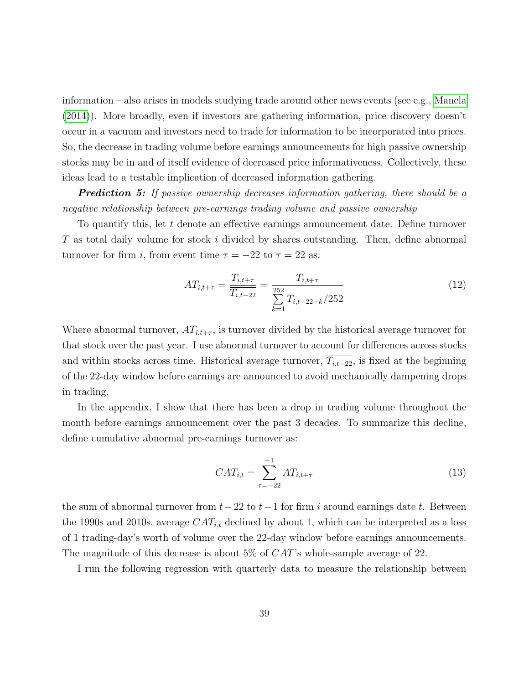information – also arises in models studying trade around other news events (see e.g., [Manela](#page-52-0) [\(2014\)](#page-52-0)). More broadly, even if investors are gathering information, price discovery doesn't occur in a vacuum and investors need to trade for information to be incorporated into prices. So, the decrease in trading volume before earnings announcements for high passive ownership stocks may be in and of itself evidence of decreased price informativeness. Collectively, these ideas lead to a testable implication of decreased information gathering.

**Prediction 5:** If passive ownership decreases information gathering, there should be a negative relationship between pre-earnings trading volume and passive ownership

To quantify this, let t denote an effective earnings announcement date. Define turnover  $T$  as total daily volume for stock i divided by shares outstanding. Then, define abnormal turnover for firm i, from event time  $\tau = -22$  to  $\tau = 22$  as:

<span id="page-38-1"></span>
$$
AT_{i,t+\tau} = \frac{T_{i,t+\tau}}{T_{i,t-22}} = \frac{T_{i,t+\tau}}{\sum_{k=1}^{252} T_{i,t-22-k} / 252}
$$
(12)

Where abnormal turnover,  $AT_{i,t+\tau}$ , is turnover divided by the historical average turnover for that stock over the past year. I use abnormal turnover to account for differences across stocks and within stocks across time. Historical average turnover,  $\overline{T_{i,t-22}}$ , is fixed at the beginning of the 22-day window before earnings are announced to avoid mechanically dampening drops in trading.

In the appendix, I show that there has been a drop in trading volume throughout the month before earnings announcement over the past 3 decades. To summarize this decline, define cumulative abnormal pre-earnings turnover as:

<span id="page-38-0"></span>
$$
CAT_{i,t} = \sum_{\tau=-22}^{-1} AT_{i,t+\tau}
$$
 (13)

the sum of abnormal turnover from  $t-22$  to  $t-1$  for firm i around earnings date t. Between the 1990s and 2010s, average  $CAT_{i,t}$  declined by about 1, which can be interpreted as a loss of 1 trading-day's worth of volume over the 22-day window before earnings announcements. The magnitude of this decrease is about 5% of  $CAT$ 's whole-sample average of 22.

I run the following regression with quarterly data to measure the relationship between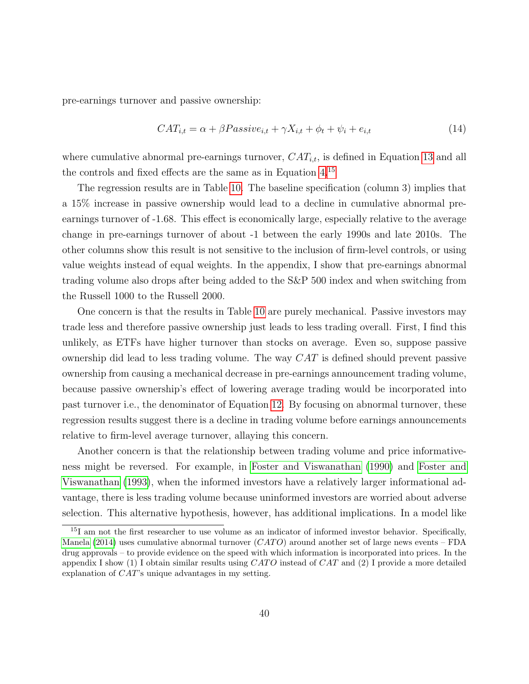pre-earnings turnover and passive ownership:

$$
CAT_{i,t} = \alpha + \beta Passive_{i,t} + \gamma X_{i,t} + \phi_t + \psi_i + e_{i,t}
$$
\n
$$
(14)
$$

where cumulative abnormal pre-earnings turnover,  $CAT_{i,t}$ , is defined in Equation [13](#page-38-0) and all the controls and fixed effects are the same as in Equation [4.](#page-13-1)[15](#page-39-0)

The regression results are in Table [10.](#page-40-0) The baseline specification (column 3) implies that a 15% increase in passive ownership would lead to a decline in cumulative abnormal preearnings turnover of -1.68. This effect is economically large, especially relative to the average change in pre-earnings turnover of about -1 between the early 1990s and late 2010s. The other columns show this result is not sensitive to the inclusion of firm-level controls, or using value weights instead of equal weights. In the appendix, I show that pre-earnings abnormal trading volume also drops after being added to the S&P 500 index and when switching from the Russell 1000 to the Russell 2000.

One concern is that the results in Table [10](#page-40-0) are purely mechanical. Passive investors may trade less and therefore passive ownership just leads to less trading overall. First, I find this unlikely, as ETFs have higher turnover than stocks on average. Even so, suppose passive ownership did lead to less trading volume. The way CAT is defined should prevent passive ownership from causing a mechanical decrease in pre-earnings announcement trading volume, because passive ownership's effect of lowering average trading would be incorporated into past turnover i.e., the denominator of Equation [12.](#page-38-1) By focusing on abnormal turnover, these regression results suggest there is a decline in trading volume before earnings announcements relative to firm-level average turnover, allaying this concern.

Another concern is that the relationship between trading volume and price informativeness might be reversed. For example, in [Foster and Viswanathan](#page-50-9) [\(1990\)](#page-50-9) and [Foster and](#page-50-10) [Viswanathan](#page-50-10) [\(1993\)](#page-50-10), when the informed investors have a relatively larger informational advantage, there is less trading volume because uninformed investors are worried about adverse selection. This alternative hypothesis, however, has additional implications. In a model like

<span id="page-39-0"></span><sup>&</sup>lt;sup>15</sup>I am not the first researcher to use volume as an indicator of informed investor behavior. Specifically, [Manela](#page-52-0) [\(2014\)](#page-52-0) uses cumulative abnormal turnover  $(CATO)$  around another set of large news events – FDA drug approvals – to provide evidence on the speed with which information is incorporated into prices. In the appendix I show (1) I obtain similar results using  $CATO$  instead of  $CAT$  and (2) I provide a more detailed explanation of CAT's unique advantages in my setting.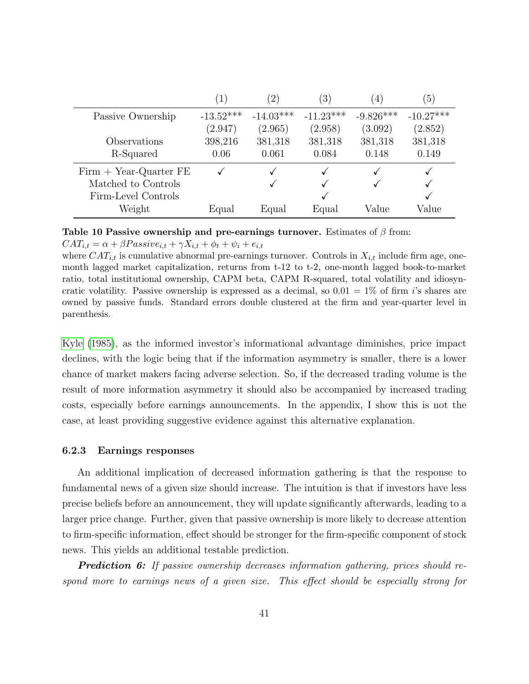<span id="page-40-0"></span>

|                          | ( T         | $\left( 2\right)$ | $\left(3\right)$ | $\overline{4}$ | $\left(5\right)$ |
|--------------------------|-------------|-------------------|------------------|----------------|------------------|
| Passive Ownership        | $-13.52***$ | $-14.03***$       | $-11.23***$      | $-9.826***$    | $-10.27***$      |
|                          | (2.947)     | (2.965)           | (2.958)          | (3.092)        | (2.852)          |
| Observations             | 398,216     | 381,318           | 381,318          | 381,318        | 381,318          |
| R-Squared                | 0.06        | 0.061             | 0.084            | 0.148          | 0.149            |
| $Firm + Year-Quarter FE$ |             |                   |                  |                |                  |
| Matched to Controls      |             |                   |                  |                |                  |
| Firm-Level Controls      |             |                   |                  |                |                  |
| Weight                   | Equal       | Equal             | Equal            | Value          | Value            |

Table 10 Passive ownership and pre-earnings turnover. Estimates of  $\beta$  from:

 $CAT_{i,t} = \alpha + \beta Passive_{i,t} + \gamma X_{i,t} + \phi_t + \psi_i + e_{i,t}$ 

where  $CAT_{i,t}$  is cumulative abnormal pre-earnings turnover. Controls in  $X_{i,t}$  include firm age, onemonth lagged market capitalization, returns from t-12 to t-2, one-month lagged book-to-market ratio, total institutional ownership, CAPM beta, CAPM R-squared, total volatility and idiosyncratic volatility. Passive ownership is expressed as a decimal, so  $0.01 = 1\%$  of firm *i*'s shares are owned by passive funds. Standard errors double clustered at the firm and year-quarter level in parenthesis.

[Kyle](#page-51-10) [\(1985\)](#page-51-10), as the informed investor's informational advantage diminishes, price impact declines, with the logic being that if the information asymmetry is smaller, there is a lower chance of market makers facing adverse selection. So, if the decreased trading volume is the result of more information asymmetry it should also be accompanied by increased trading costs, especially before earnings announcements. In the appendix, I show this is not the case, at least providing suggestive evidence against this alternative explanation.

## 6.2.3 Earnings responses

An additional implication of decreased information gathering is that the response to fundamental news of a given size should increase. The intuition is that if investors have less precise beliefs before an announcement, they will update significantly afterwards, leading to a larger price change. Further, given that passive ownership is more likely to decrease attention to firm-specific information, effect should be stronger for the firm-specific component of stock news. This yields an additional testable prediction.

**Prediction 6:** If passive ownership decreases information gathering, prices should respond more to earnings news of a given size. This effect should be especially strong for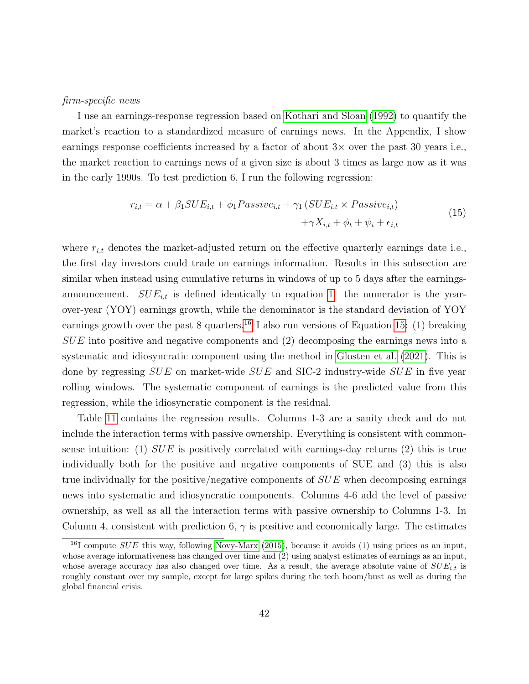### firm-specific news

I use an earnings-response regression based on [Kothari and Sloan](#page-51-3) [\(1992\)](#page-51-3) to quantify the market's reaction to a standardized measure of earnings news. In the Appendix, I show earnings response coefficients increased by a factor of about  $3\times$  over the past 30 years i.e., the market reaction to earnings news of a given size is about 3 times as large now as it was in the early 1990s. To test prediction 6, I run the following regression:

$$
r_{i,t} = \alpha + \beta_1 SUE_{i,t} + \phi_1 Passive_{i,t} + \gamma_1 (SUE_{i,t} \times Passive_{i,t})
$$
  
+
$$
\gamma X_{i,t} + \phi_t + \psi_i + \epsilon_{i,t}
$$
 (15)

<span id="page-41-1"></span>where  $r_{i,t}$  denotes the market-adjusted return on the effective quarterly earnings date i.e., the first day investors could trade on earnings information. Results in this subsection are similar when instead using cumulative returns in windows of up to 5 days after the earningsannouncement.  $SUE_{i,t}$  is defined identically to equation [1:](#page-5-0) the numerator is the yearover-year (YOY) earnings growth, while the denominator is the standard deviation of YOY earnings growth over the past 8 quarters.<sup>[16](#page-41-0)</sup> I also run versions of Equation [15:](#page-41-1) (1) breaking  $SUE$  into positive and negative components and  $(2)$  decomposing the earnings news into a systematic and idiosyncratic component using the method in [Glosten et al.](#page-51-0) [\(2021\)](#page-51-0). This is done by regressing  $SUE$  on market-wide  $SUE$  and SIC-2 industry-wide  $SUE$  in five year rolling windows. The systematic component of earnings is the predicted value from this regression, while the idiosyncratic component is the residual.

Table [11](#page-46-0) contains the regression results. Columns 1-3 are a sanity check and do not include the interaction terms with passive ownership. Everything is consistent with commonsense intuition: (1)  $SUE$  is positively correlated with earnings-day returns (2) this is true individually both for the positive and negative components of SUE and (3) this is also true individually for the positive/negative components of  $SUE$  when decomposing earnings news into systematic and idiosyncratic components. Columns 4-6 add the level of passive ownership, as well as all the interaction terms with passive ownership to Columns 1-3. In Column 4, consistent with prediction 6,  $\gamma$  is positive and economically large. The estimates

<span id="page-41-0"></span><sup>&</sup>lt;sup>16</sup>I compute  $SUE$  this way, following [Novy-Marx](#page-52-6) [\(2015\)](#page-52-6), because it avoids (1) using prices as an input, whose average informativeness has changed over time and (2) using analyst estimates of earnings as an input, whose average accuracy has also changed over time. As a result, the average absolute value of  $SUE_{i,t}$  is roughly constant over my sample, except for large spikes during the tech boom/bust as well as during the global financial crisis.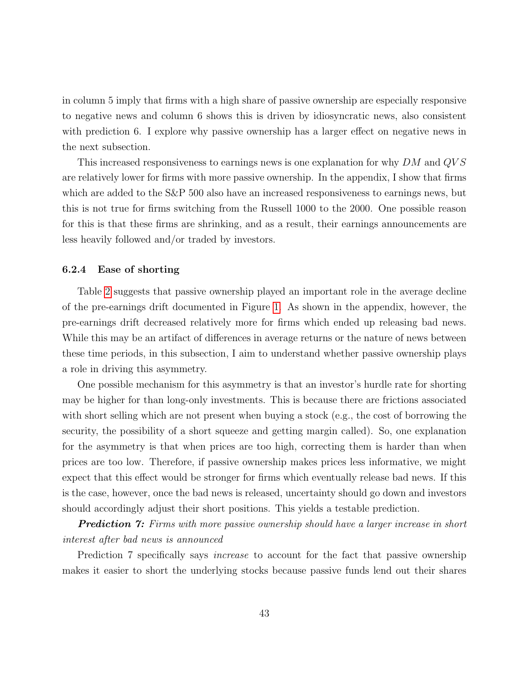in column 5 imply that firms with a high share of passive ownership are especially responsive to negative news and column 6 shows this is driven by idiosyncratic news, also consistent with prediction 6. I explore why passive ownership has a larger effect on negative news in the next subsection.

This increased responsiveness to earnings news is one explanation for why  $DM$  and  $QVS$ are relatively lower for firms with more passive ownership. In the appendix, I show that firms which are added to the S&P 500 also have an increased responsiveness to earnings news, but this is not true for firms switching from the Russell 1000 to the 2000. One possible reason for this is that these firms are shrinking, and as a result, their earnings announcements are less heavily followed and/or traded by investors.

## 6.2.4 Ease of shorting

Table [2](#page-15-0) suggests that passive ownership played an important role in the average decline of the pre-earnings drift documented in Figure [1.](#page-7-0) As shown in the appendix, however, the pre-earnings drift decreased relatively more for firms which ended up releasing bad news. While this may be an artifact of differences in average returns or the nature of news between these time periods, in this subsection, I aim to understand whether passive ownership plays a role in driving this asymmetry.

One possible mechanism for this asymmetry is that an investor's hurdle rate for shorting may be higher for than long-only investments. This is because there are frictions associated with short selling which are not present when buying a stock (e.g., the cost of borrowing the security, the possibility of a short squeeze and getting margin called). So, one explanation for the asymmetry is that when prices are too high, correcting them is harder than when prices are too low. Therefore, if passive ownership makes prices less informative, we might expect that this effect would be stronger for firms which eventually release bad news. If this is the case, however, once the bad news is released, uncertainty should go down and investors should accordingly adjust their short positions. This yields a testable prediction.

**Prediction 7:** Firms with more passive ownership should have a larger increase in short interest after bad news is announced

Prediction 7 specifically says *increase* to account for the fact that passive ownership makes it easier to short the underlying stocks because passive funds lend out their shares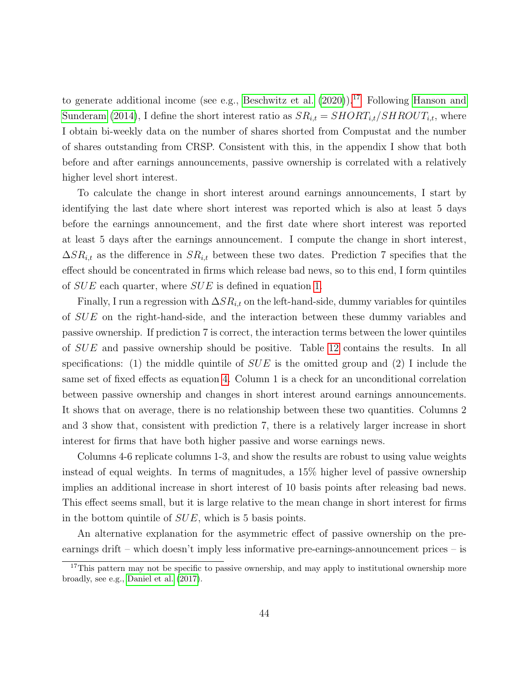to generate additional income (see e.g., [Beschwitz et al.](#page-48-11)  $(2020)$ ).<sup>[17](#page-43-0)</sup> Following [Hanson and](#page-51-12) [Sunderam](#page-51-12) [\(2014\)](#page-51-12), I define the short interest ratio as  $SR_{i,t} = SHORT_{i,t}/SHROUT_{i,t}$ , where I obtain bi-weekly data on the number of shares shorted from Compustat and the number of shares outstanding from CRSP. Consistent with this, in the appendix I show that both before and after earnings announcements, passive ownership is correlated with a relatively higher level short interest.

To calculate the change in short interest around earnings announcements, I start by identifying the last date where short interest was reported which is also at least 5 days before the earnings announcement, and the first date where short interest was reported at least 5 days after the earnings announcement. I compute the change in short interest,  $\Delta SR_{i,t}$  as the difference in  $SR_{i,t}$  between these two dates. Prediction 7 specifies that the effect should be concentrated in firms which release bad news, so to this end, I form quintiles of SUE each quarter, where SUE is defined in equation [1.](#page-5-0)

Finally, I run a regression with  $\Delta SR_{i,t}$  on the left-hand-side, dummy variables for quintiles of SUE on the right-hand-side, and the interaction between these dummy variables and passive ownership. If prediction 7 is correct, the interaction terms between the lower quintiles of SUE and passive ownership should be positive. Table [12](#page-47-0) contains the results. In all specifications: (1) the middle quintile of  $SUE$  is the omitted group and (2) I include the same set of fixed effects as equation [4.](#page-13-1) Column 1 is a check for an unconditional correlation between passive ownership and changes in short interest around earnings announcements. It shows that on average, there is no relationship between these two quantities. Columns 2 and 3 show that, consistent with prediction 7, there is a relatively larger increase in short interest for firms that have both higher passive and worse earnings news.

Columns 4-6 replicate columns 1-3, and show the results are robust to using value weights instead of equal weights. In terms of magnitudes, a 15% higher level of passive ownership implies an additional increase in short interest of 10 basis points after releasing bad news. This effect seems small, but it is large relative to the mean change in short interest for firms in the bottom quintile of SUE, which is 5 basis points.

An alternative explanation for the asymmetric effect of passive ownership on the preearnings drift – which doesn't imply less informative pre-earnings-announcement prices – is

<span id="page-43-0"></span><sup>&</sup>lt;sup>17</sup>This pattern may not be specific to passive ownership, and may apply to institutional ownership more broadly, see e.g., [Daniel et al.](#page-49-11) [\(2017\)](#page-49-11).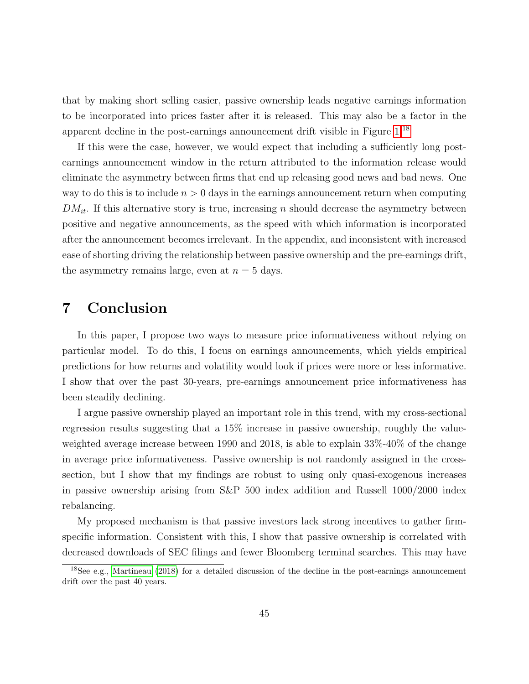that by making short selling easier, passive ownership leads negative earnings information to be incorporated into prices faster after it is released. This may also be a factor in the apparent decline in the post-earnings announcement drift visible in Figure [1.](#page-7-0)[18](#page-44-0)

If this were the case, however, we would expect that including a sufficiently long postearnings announcement window in the return attributed to the information release would eliminate the asymmetry between firms that end up releasing good news and bad news. One way to do this is to include  $n > 0$  days in the earnings announcement return when computing  $DM_{it}$ . If this alternative story is true, increasing n should decrease the asymmetry between positive and negative announcements, as the speed with which information is incorporated after the announcement becomes irrelevant. In the appendix, and inconsistent with increased ease of shorting driving the relationship between passive ownership and the pre-earnings drift, the asymmetry remains large, even at  $n = 5$  days.

# 7 Conclusion

In this paper, I propose two ways to measure price informativeness without relying on particular model. To do this, I focus on earnings announcements, which yields empirical predictions for how returns and volatility would look if prices were more or less informative. I show that over the past 30-years, pre-earnings announcement price informativeness has been steadily declining.

I argue passive ownership played an important role in this trend, with my cross-sectional regression results suggesting that a 15% increase in passive ownership, roughly the valueweighted average increase between 1990 and 2018, is able to explain 33%-40% of the change in average price informativeness. Passive ownership is not randomly assigned in the crosssection, but I show that my findings are robust to using only quasi-exogenous increases in passive ownership arising from S&P 500 index addition and Russell 1000/2000 index rebalancing.

My proposed mechanism is that passive investors lack strong incentives to gather firmspecific information. Consistent with this, I show that passive ownership is correlated with decreased downloads of SEC filings and fewer Bloomberg terminal searches. This may have

<span id="page-44-0"></span><sup>18</sup>See e.g., [Martineau](#page-52-9) [\(2018\)](#page-52-9) for a detailed discussion of the decline in the post-earnings announcement drift over the past 40 years.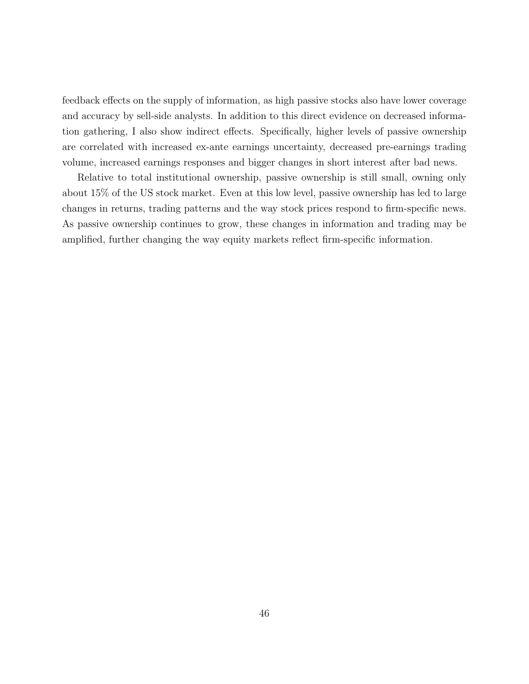feedback effects on the supply of information, as high passive stocks also have lower coverage and accuracy by sell-side analysts. In addition to this direct evidence on decreased information gathering, I also show indirect effects. Specifically, higher levels of passive ownership are correlated with increased ex-ante earnings uncertainty, decreased pre-earnings trading volume, increased earnings responses and bigger changes in short interest after bad news.

Relative to total institutional ownership, passive ownership is still small, owning only about 15% of the US stock market. Even at this low level, passive ownership has led to large changes in returns, trading patterns and the way stock prices respond to firm-specific news. As passive ownership continues to grow, these changes in information and trading may be amplified, further changing the way equity markets reflect firm-specific information.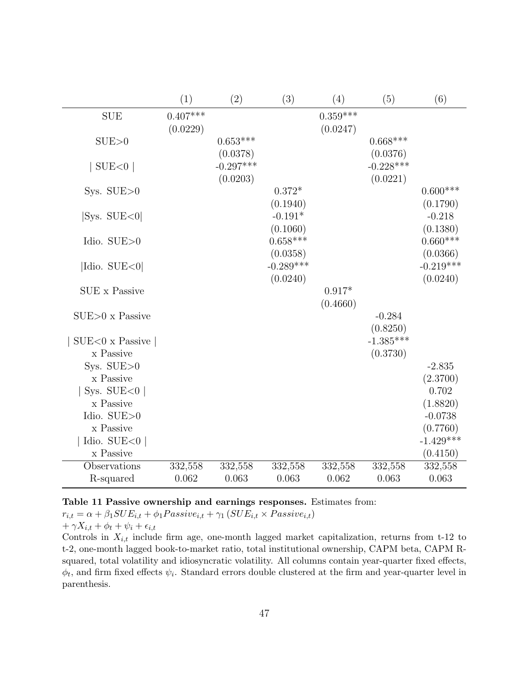<span id="page-46-0"></span>

|                             | (1)        | (2)                    | (3)                    | (4)        | (5)                     | (6)                     |
|-----------------------------|------------|------------------------|------------------------|------------|-------------------------|-------------------------|
| <b>SUE</b>                  | $0.407***$ |                        |                        | $0.359***$ |                         |                         |
|                             | (0.0229)   |                        |                        | (0.0247)   |                         |                         |
| SUB>0                       |            | $0.653***$<br>(0.0378) |                        |            | $0.668***$<br>(0.0376)  |                         |
| $\text{SUE}$ <0             |            | $-0.297***$            |                        |            | $-0.228***$             |                         |
|                             |            | (0.0203)               |                        |            | (0.0221)                |                         |
| Sys. $SUE>0$                |            |                        | $0.372*$               |            |                         | $0.600***$              |
|                             |            |                        | (0.1940)               |            |                         | (0.1790)                |
| $ {\rm Sys. \,\, SUE}{<}0 $ |            |                        | $-0.191*$              |            |                         | $-0.218$                |
| Idio. SUE>0                 |            |                        | (0.1060)<br>$0.658***$ |            |                         | (0.1380)<br>$0.660***$  |
|                             |            |                        | (0.0358)               |            |                         | (0.0366)                |
| Idio. SUE<0                 |            |                        | $-0.289***$            |            |                         | $-0.219***$             |
|                             |            |                        | (0.0240)               |            |                         | (0.0240)                |
| <b>SUE</b> x Passive        |            |                        |                        | $0.917*$   |                         |                         |
|                             |            |                        |                        | (0.4660)   |                         |                         |
| $SUB>0$ x Passive           |            |                        |                        |            | $-0.284$                |                         |
| $SUE<0$ x Passive           |            |                        |                        |            | (0.8250)<br>$-1.385***$ |                         |
| x Passive                   |            |                        |                        |            | (0.3730)                |                         |
| Sys. $SUE>0$                |            |                        |                        |            |                         | $-2.835$                |
| x Passive                   |            |                        |                        |            |                         | (2.3700)                |
| Sys. SUE $<$ 0              |            |                        |                        |            |                         | 0.702                   |
| x Passive                   |            |                        |                        |            |                         | (1.8820)                |
| Idio. $\text{SUE}{>}0$      |            |                        |                        |            |                         | $-0.0738$               |
| x Passive<br>Idio. $SUE<0$  |            |                        |                        |            |                         | (0.7760)<br>$-1.429***$ |
| x Passive                   |            |                        |                        |            |                         | (0.4150)                |
| Observations                | 332,558    | 332,558                | 332,558                | 332,558    | 332,558                 | 332,558                 |
| R-squared                   | 0.062      | 0.063                  | 0.063                  | 0.062      | 0.063                   | 0.063                   |

Table 11 Passive ownership and earnings responses. Estimates from:

 $r_{i,t} = \alpha + \beta_1 SUE_{i,t} + \phi_1 Passive_{i,t} + \gamma_1 (SUE_{i,t} \times Passive_{i,t})$  $+ \gamma X_{i,t} + \phi_t + \psi_i + \epsilon_{i,t}$ 

Controls in  $X_{i,t}$  include firm age, one-month lagged market capitalization, returns from t-12 to t-2, one-month lagged book-to-market ratio, total institutional ownership, CAPM beta, CAPM Rsquared, total volatility and idiosyncratic volatility. All columns contain year-quarter fixed effects,  $\phi_t$ , and firm fixed effects  $\psi_i$ . Standard errors double clustered at the firm and year-quarter level in parenthesis.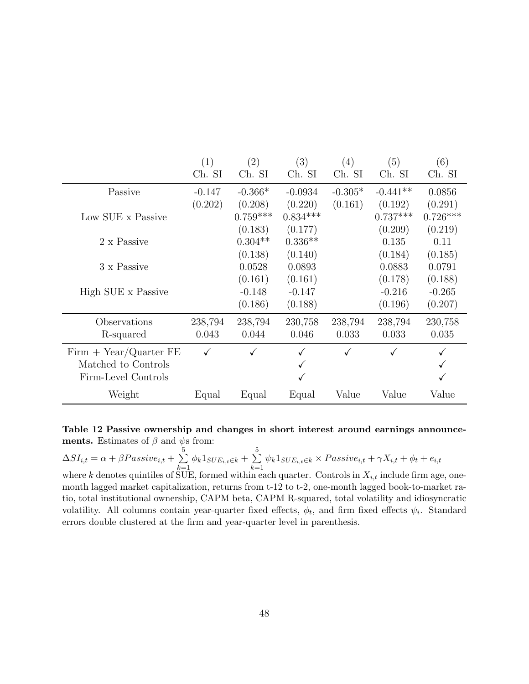<span id="page-47-0"></span>

|                          | (1)      | (2)        | (3)        | (4)       | (5)        | (6)        |
|--------------------------|----------|------------|------------|-----------|------------|------------|
|                          | Ch. SI   | Ch. SI     | Ch. SI     | Ch. SI    | Ch. SI     | Ch. SI     |
| Passive                  | $-0.147$ | $-0.366*$  | $-0.0934$  | $-0.305*$ | $-0.441**$ | 0.0856     |
|                          | (0.202)  | (0.208)    | (0.220)    | (0.161)   | (0.192)    | (0.291)    |
| Low SUE x Passive        |          | $0.759***$ | $0.834***$ |           | $0.737***$ | $0.726***$ |
|                          |          | (0.183)    | (0.177)    |           | (0.209)    | (0.219)    |
| 2 x Passive              |          | $0.304**$  | $0.336**$  |           | 0.135      | 0.11       |
|                          |          | (0.138)    | (0.140)    |           | (0.184)    | (0.185)    |
| 3 x Passive              |          | 0.0528     | 0.0893     |           | 0.0883     | 0.0791     |
|                          |          | (0.161)    | (0.161)    |           | (0.178)    | (0.188)    |
| High SUE x Passive       |          | $-0.148$   | $-0.147$   |           | $-0.216$   | $-0.265$   |
|                          |          | (0.186)    | (0.188)    |           | (0.196)    | (0.207)    |
| Observations             | 238,794  | 238,794    | 230,758    | 238,794   | 238,794    | 230,758    |
| R-squared                | 0.043    | 0.044      | 0.046      | 0.033     | 0.033      | 0.035      |
| $Firm + Year/Quarter FE$ |          |            |            | ✓         |            |            |
| Matched to Controls      |          |            |            |           |            |            |
| Firm-Level Controls      |          |            |            |           |            |            |
| Weight                   | Equal    | Equal      | Equal      | Value     | Value      | Value      |

Table 12 Passive ownership and changes in short interest around earnings announcements. Estimates of  $\beta$  and  $\psi$ s from:

 $\Delta SI_{i,t} = \alpha + \beta Passive_{i,t} + \sum_{i=1}^{5}$  $\sum_{k=1}^{5} \phi_k 1_{SUE_{i,t} \in k} + \sum_{k=1}^{5}$  $\sum_{k=1} \psi_k 1_{SUE_{i,t} \in k} \times Passive_{i,t} + \gamma X_{i,t} + \phi_t + e_{i,t}$ where k denotes quintiles of SUE, formed within each quarter. Controls in  $X_{i,t}$  include firm age, one-

month lagged market capitalization, returns from t-12 to t-2, one-month lagged book-to-market ratio, total institutional ownership, CAPM beta, CAPM R-squared, total volatility and idiosyncratic volatility. All columns contain year-quarter fixed effects,  $\phi_t$ , and firm fixed effects  $\psi_i$ . Standard errors double clustered at the firm and year-quarter level in parenthesis.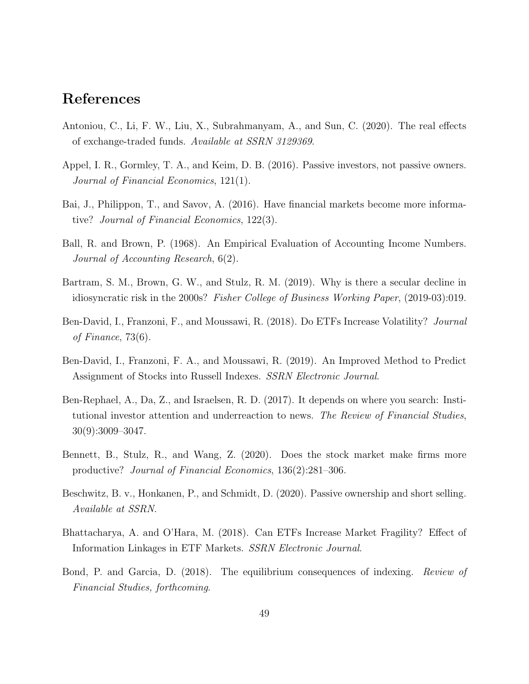## References

- <span id="page-48-5"></span>Antoniou, C., Li, F. W., Liu, X., Subrahmanyam, A., and Sun, C. (2020). The real effects of exchange-traded funds. Available at SSRN 3129369.
- <span id="page-48-8"></span>Appel, I. R., Gormley, T. A., and Keim, D. B. (2016). Passive investors, not passive owners. Journal of Financial Economics, 121(1).
- <span id="page-48-7"></span>Bai, J., Philippon, T., and Savov, A. (2016). Have financial markets become more informative? Journal of Financial Economics, 122(3).
- <span id="page-48-1"></span>Ball, R. and Brown, P. (1968). An Empirical Evaluation of Accounting Income Numbers. Journal of Accounting Research, 6(2).
- <span id="page-48-9"></span>Bartram, S. M., Brown, G. W., and Stulz, R. M. (2019). Why is there a secular decline in idiosyncratic risk in the 2000s? Fisher College of Business Working Paper, (2019-03):019.
- <span id="page-48-0"></span>Ben-David, I., Franzoni, F., and Moussawi, R. (2018). Do ETFs Increase Volatility? *Journal* of Finance, 73(6).
- <span id="page-48-10"></span>Ben-David, I., Franzoni, F. A., and Moussawi, R. (2019). An Improved Method to Predict Assignment of Stocks into Russell Indexes. SSRN Electronic Journal.
- <span id="page-48-2"></span>Ben-Rephael, A., Da, Z., and Israelsen, R. D. (2017). It depends on where you search: Institutional investor attention and underreaction to news. The Review of Financial Studies, 30(9):3009–3047.
- <span id="page-48-3"></span>Bennett, B., Stulz, R., and Wang, Z. (2020). Does the stock market make firms more productive? Journal of Financial Economics, 136(2):281–306.
- <span id="page-48-11"></span>Beschwitz, B. v., Honkanen, P., and Schmidt, D. (2020). Passive ownership and short selling. Available at SSRN.
- <span id="page-48-4"></span>Bhattacharya, A. and O'Hara, M. (2018). Can ETFs Increase Market Fragility? Effect of Information Linkages in ETF Markets. SSRN Electronic Journal.
- <span id="page-48-6"></span>Bond, P. and Garcia, D. (2018). The equilibrium consequences of indexing. Review of Financial Studies, forthcoming.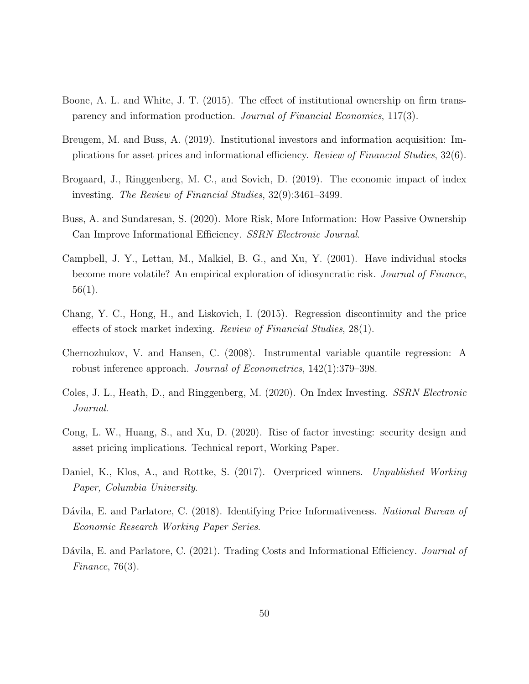- <span id="page-49-9"></span>Boone, A. L. and White, J. T. (2015). The effect of institutional ownership on firm transparency and information production. Journal of Financial Economics, 117(3).
- <span id="page-49-2"></span>Breugem, M. and Buss, A. (2019). Institutional investors and information acquisition: Implications for asset prices and informational efficiency. Review of Financial Studies, 32(6).
- <span id="page-49-3"></span>Brogaard, J., Ringgenberg, M. C., and Sovich, D. (2019). The economic impact of index investing. The Review of Financial Studies, 32(9):3461–3499.
- <span id="page-49-1"></span>Buss, A. and Sundaresan, S. (2020). More Risk, More Information: How Passive Ownership Can Improve Informational Efficiency. SSRN Electronic Journal.
- <span id="page-49-6"></span>Campbell, J. Y., Lettau, M., Malkiel, B. G., and Xu, Y. (2001). Have individual stocks become more volatile? An empirical exploration of idiosyncratic risk. Journal of Finance, 56(1).
- <span id="page-49-8"></span>Chang, Y. C., Hong, H., and Liskovich, I. (2015). Regression discontinuity and the price effects of stock market indexing. Review of Financial Studies, 28(1).
- <span id="page-49-10"></span>Chernozhukov, V. and Hansen, C. (2008). Instrumental variable quantile regression: A robust inference approach. Journal of Econometrics, 142(1):379–398.
- <span id="page-49-4"></span>Coles, J. L., Heath, D., and Ringgenberg, M. (2020). On Index Investing. SSRN Electronic Journal.
- <span id="page-49-0"></span>Cong, L. W., Huang, S., and Xu, D. (2020). Rise of factor investing: security design and asset pricing implications. Technical report, Working Paper.
- <span id="page-49-11"></span>Daniel, K., Klos, A., and Rottke, S. (2017). Overpriced winners. Unpublished Working Paper, Columbia University.
- <span id="page-49-5"></span>Dávila, E. and Parlatore, C. (2018). Identifying Price Informativeness. National Bureau of Economic Research Working Paper Series.
- <span id="page-49-7"></span>Dávila, E. and Parlatore, C. (2021). Trading Costs and Informational Efficiency. Journal of Finance, 76(3).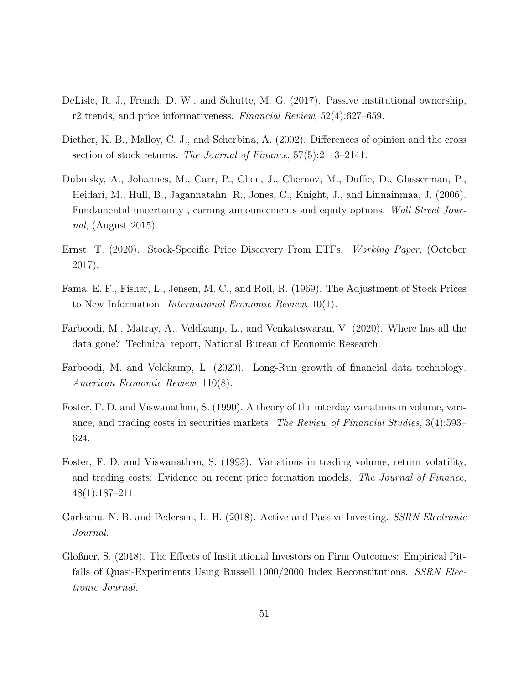- <span id="page-50-2"></span>DeLisle, R. J., French, D. W., and Schutte, M. G. (2017). Passive institutional ownership, r2 trends, and price informativeness. Financial Review, 52(4):627–659.
- <span id="page-50-7"></span>Diether, K. B., Malloy, C. J., and Scherbina, A. (2002). Differences of opinion and the cross section of stock returns. The Journal of Finance, 57(5):2113–2141.
- <span id="page-50-8"></span>Dubinsky, A., Johannes, M., Carr, P., Chen, J., Chernov, M., Duffie, D., Glasserman, P., Heidari, M., Hull, B., Jagannatahn, R., Jones, C., Knight, J., and Linnainmaa, J. (2006). Fundamental uncertainty , earning announcements and equity options. Wall Street Journal, (August 2015).
- <span id="page-50-1"></span>Ernst, T. (2020). Stock-Specific Price Discovery From ETFs. Working Paper, (October 2017).
- <span id="page-50-0"></span>Fama, E. F., Fisher, L., Jensen, M. C., and Roll, R. (1969). The Adjustment of Stock Prices to New Information. International Economic Review, 10(1).
- <span id="page-50-4"></span>Farboodi, M., Matray, A., Veldkamp, L., and Venkateswaran, V. (2020). Where has all the data gone? Technical report, National Bureau of Economic Research.
- <span id="page-50-5"></span>Farboodi, M. and Veldkamp, L. (2020). Long-Run growth of financial data technology. American Economic Review, 110(8).
- <span id="page-50-9"></span>Foster, F. D. and Viswanathan, S. (1990). A theory of the interday variations in volume, variance, and trading costs in securities markets. The Review of Financial Studies, 3(4):593– 624.
- <span id="page-50-10"></span>Foster, F. D. and Viswanathan, S. (1993). Variations in trading volume, return volatility, and trading costs: Evidence on recent price formation models. The Journal of Finance, 48(1):187–211.
- <span id="page-50-3"></span>Garleanu, N. B. and Pedersen, L. H. (2018). Active and Passive Investing. SSRN Electronic Journal.
- <span id="page-50-6"></span>Gloßner, S. (2018). The Effects of Institutional Investors on Firm Outcomes: Empirical Pitfalls of Quasi-Experiments Using Russell 1000/2000 Index Reconstitutions. SSRN Electronic Journal.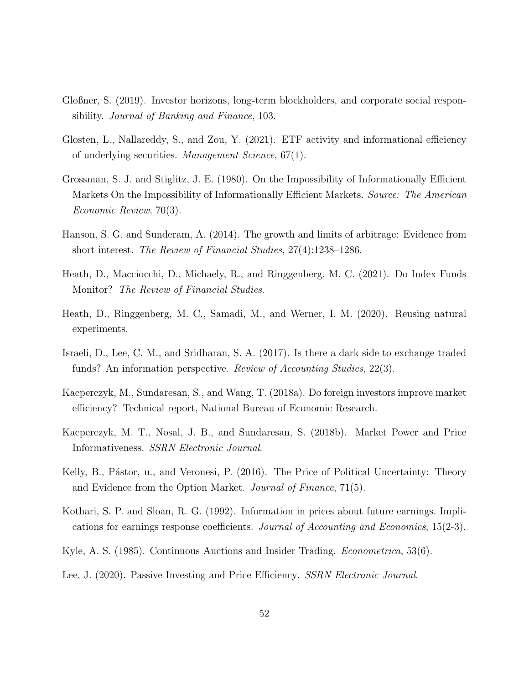- <span id="page-51-7"></span>Gloßner, S. (2019). Investor horizons, long-term blockholders, and corporate social responsibility. Journal of Banking and Finance, 103.
- <span id="page-51-0"></span>Glosten, L., Nallareddy, S., and Zou, Y. (2021). ETF activity and informational efficiency of underlying securities. Management Science, 67(1).
- <span id="page-51-9"></span>Grossman, S. J. and Stiglitz, J. E. (1980). On the Impossibility of Informationally Efficient Markets On the Impossibility of Informationally Efficient Markets. Source: The American Economic Review, 70(3).
- <span id="page-51-12"></span>Hanson, S. G. and Sunderam, A. (2014). The growth and limits of arbitrage: Evidence from short interest. The Review of Financial Studies, 27(4):1238–1286.
- <span id="page-51-6"></span>Heath, D., Macciocchi, D., Michaely, R., and Ringgenberg, M. C. (2021). Do Index Funds Monitor? The Review of Financial Studies.
- <span id="page-51-8"></span>Heath, D., Ringgenberg, M. C., Samadi, M., and Werner, I. M. (2020). Reusing natural experiments.
- <span id="page-51-11"></span>Israeli, D., Lee, C. M., and Sridharan, S. A. (2017). Is there a dark side to exchange traded funds? An information perspective. Review of Accounting Studies, 22(3).
- <span id="page-51-5"></span>Kacperczyk, M., Sundaresan, S., and Wang, T. (2018a). Do foreign investors improve market efficiency? Technical report, National Bureau of Economic Research.
- <span id="page-51-1"></span>Kacperczyk, M. T., Nosal, J. B., and Sundaresan, S. (2018b). Market Power and Price Informativeness. SSRN Electronic Journal.
- <span id="page-51-2"></span>Kelly, B., Pástor, u., and Veronesi, P. (2016). The Price of Political Uncertainty: Theory and Evidence from the Option Market. Journal of Finance, 71(5).
- <span id="page-51-3"></span>Kothari, S. P. and Sloan, R. G. (1992). Information in prices about future earnings. Implications for earnings response coefficients. Journal of Accounting and Economics, 15(2-3).
- <span id="page-51-10"></span>Kyle, A. S. (1985). Continuous Auctions and Insider Trading. *Econometrica*, 53(6).
- <span id="page-51-4"></span>Lee, J. (2020). Passive Investing and Price Efficiency. *SSRN Electronic Journal*.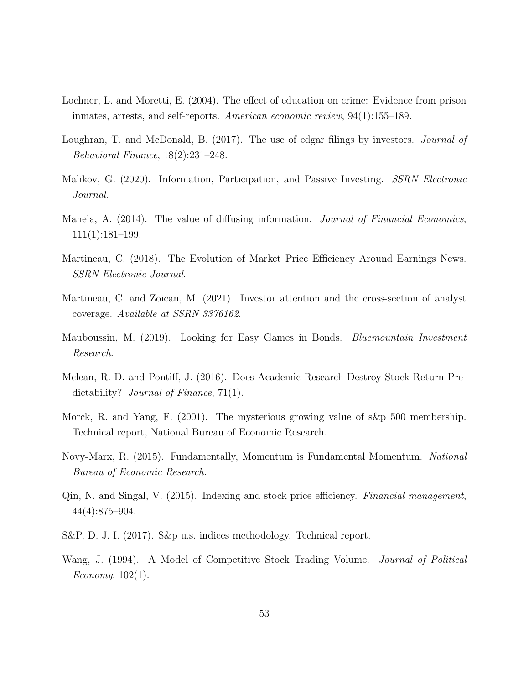- <span id="page-52-12"></span>Lochner, L. and Moretti, E. (2004). The effect of education on crime: Evidence from prison inmates, arrests, and self-reports. American economic review, 94(1):155–189.
- <span id="page-52-1"></span>Loughran, T. and McDonald, B. (2017). The use of edgar filings by investors. *Journal of* Behavioral Finance, 18(2):231–248.
- <span id="page-52-4"></span>Malikov, G. (2020). Information, Participation, and Passive Investing. SSRN Electronic Journal.
- <span id="page-52-0"></span>Manela, A. (2014). The value of diffusing information. *Journal of Financial Economics*, 111(1):181–199.
- <span id="page-52-9"></span>Martineau, C. (2018). The Evolution of Market Price Efficiency Around Earnings News. SSRN Electronic Journal.
- <span id="page-52-2"></span>Martineau, C. and Zoican, M. (2021). Investor attention and the cross-section of analyst coverage. Available at SSRN 3376162.
- <span id="page-52-7"></span>Mauboussin, M. (2019). Looking for Easy Games in Bonds. Bluemountain Investment Research.
- <span id="page-52-8"></span>Mclean, R. D. and Pontiff, J. (2016). Does Academic Research Destroy Stock Return Predictability? *Journal of Finance*, 71(1).
- <span id="page-52-10"></span>Morck, R. and Yang, F. (2001). The mysterious growing value of s&p 500 membership. Technical report, National Bureau of Economic Research.
- <span id="page-52-6"></span>Novy-Marx, R. (2015). Fundamentally, Momentum is Fundamental Momentum. National Bureau of Economic Research.
- <span id="page-52-5"></span>Qin, N. and Singal, V. (2015). Indexing and stock price efficiency. Financial management, 44(4):875–904.
- <span id="page-52-11"></span>S&P, D. J. I. (2017). S&p u.s. indices methodology. Technical report.
- <span id="page-52-3"></span>Wang, J. (1994). A Model of Competitive Stock Trading Volume. *Journal of Political* Economy, 102(1).